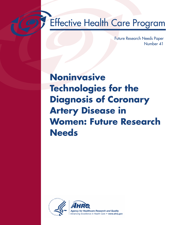# **Effective Health Care Program**

Future Research Needs Paper Number 41

# **Noninvasive Technologies for the Diagnosis of Coronary Artery Disease in Women: Future Research Needs**

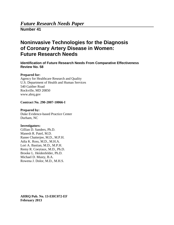## *Future Research Needs Paper*

**Number 41**

# **Noninvasive Technologies for the Diagnosis of Coronary Artery Disease in Women: Future Research Needs**

**Identification of Future Research Needs From Comparative Effectiveness Review No. 58**

#### **Prepared for:**

Agency for Healthcare Research and Quality U.S. Department of Health and Human Services 540 Gaither Road Rockville, MD 20850 www.ahrq.gov

#### **Contract No. 290-2007-10066-I**

**Prepared by:**  Duke Evidence-based Practice Center Durham, NC

#### **Investigators:**

Gillian D. Sanders, Ph.D. Manesh R. Patel, M.D. Ranee Chatterjee, M.D., M.P.H. Adia K. Ross, M.D., M.H.A. Lori A. Bastian, M.D., M.P.H. Remy R. Coeytaux, M.D., Ph.D. Brooke L. Heidenfelder, Ph.D. Michael D. Musty, B.A. Rowena J. Dolor, M.D., M.H.S.

**AHRQ Pub. No. 13-EHC072-EF February 2013**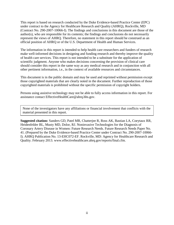This report is based on research conducted by the Duke Evidence-based Practice Center (EPC) under contract to the Agency for Healthcare Research and Quality (AHRQ), Rockville, MD (Contract No. 290-2007-10066-I). The findings and conclusions in this document are those of the author(s), who are responsible for its contents; the findings and conclusions do not necessarily represent the views of AHRQ. Therefore, no statement in this report should be construed as an official position of AHRQ or of the U.S. Department of Health and Human Services.

The information in this report is intended to help health care researchers and funders of research make well-informed decisions in designing and funding research and thereby improve the quality of health care services. This report is not intended to be a substitute for the application of scientific judgment. Anyone who makes decisions concerning the provision of clinical care should consider this report in the same way as any medical research and in conjunction with all other pertinent information, i.e., in the context of available resources and circumstances.

This document is in the public domain and may be used and reprinted without permission except those copyrighted materials that are clearly noted in the document. Further reproduction of those copyrighted materials is prohibited without the specific permission of copyright holders.

Persons using assistive technology may not be able to fully access information in this report. For assistance contact EffectiveHealthCare@ahrq.hhs.gov.

Some of the investigators have a<br>
material presented in this report. None of the investigators have any affiliations or financial involvement that conflicts with the

**Suggested citation:** Sanders GD, Patel MR, Chatterjee R, Ross AK, Bastian LA, Coeytaux RR, Heidenfelder BL, Musty MD, Dolor, RJ. Noninvasive Technologies for the Diagnosis of Coronary Artery Disease in Women: Future Research Needs. Future Research Needs Paper No. 41. (Prepared by the Duke Evidence-based Practice Center under Contract No. 290-2007-10066- I). AHRQ Publication No. 13-EHC072-EF. Rockville, MD: Agency for Healthcare Research and Quality. February 2013. www.effectivehealthcare.ahrq.gov/reports/final.cfm.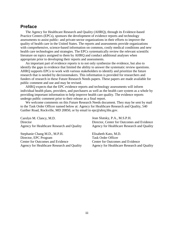## **Preface**

The Agency for Healthcare Research and Quality (AHRQ), through its Evidence-based Practice Centers (EPCs), sponsors the development of evidence reports and technology assessments to assist public- and private-sector organizations in their efforts to improve the quality of health care in the United States. The reports and assessments provide organizations with comprehensive, science-based information on common, costly medical conditions and new health care technologies and strategies. The EPCs systematically review the relevant scientific literature on topics assigned to them by AHRQ and conduct additional analyses when appropriate prior to developing their reports and assessments.

An important part of evidence reports is to not only synthesize the evidence, but also to identify the gaps in evidence that limited the ability to answer the systematic review questions. AHRQ supports EPCs to work with various stakeholders to identify and prioritize the future research that is needed by decisionmakers. This information is provided for researchers and funders of research in these Future Research Needs papers. These papers are made available for public comment and use and may be revised.

AHRQ expects that the EPC evidence reports and technology assessments will inform individual health plans, providers, and purchasers as well as the health care system as a whole by providing important information to help improve health care quality. The evidence reports undergo public comment prior to their release as a final report.

We welcome comments on this Future Research Needs document. They may be sent by mail to the Task Order Officer named below at: Agency for Healthcare Research and Quality, 540 Gaither Road, Rockville, MD 20850, or by email to epc@ahrq.hhs.gov.

Carolyn M. Clancy, M.D. **Director** Agency for Healthcare Research and Quality

Stephanie Chang M.D., M.P.H. Director, EPC Program Center for Outcomes and Evidence Agency for Healthcare Research and Quality Jean Slutsky, P.A., M.S.P.H. Director, Center for Outcomes and Evidence Agency for Healthcare Research and Quality

Elisabeth Kato, M.D. Task Order Officer Center for Outcomes and Evidence Agency for Healthcare Research and Quality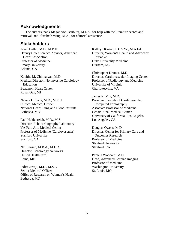## **Acknowledgments**

The authors thank Megan von Isenburg, M.L.S., for help with the literature search and retrieval, and Elizabeth Wing, M.A., for editorial assistance.

## **Stakeholders**

Javed Butler, M.D., M.P.H. Deputy Chief Science Advisor, American Heart Association Professor of Medicine Emory University Atlanta, GA

Kavitha M. Chinnaiyan, M.D. Medical Director, Noninvasive Cardiology Education Beaumont Heart Center Royal Oak, MI

Nakela L. Cook, M.D., M.P.H. Clinical Medical Officer National Heart, Lung and Blood Institute Bethesda, MD

Paul Heidenreich, M.D., M.S. Director, Echocardiography Laboratory VA Palo Alto Medical Center Professor of Medicine (Cardiovascular) Stanford University Stanford, CA

Neil Jensen, M.B.A., M.H.A. Director, Cardiology Networks United HealthCare Edina, MN

Indira Jevaji, M.D., M.S.L. Senior Medical Officer Office of Research on Women's Health Bethesda, MD

Kathryn Kastan, L.C.S.W., M.A.Ed. Director, Women's Health and Advocacy Initiative Duke University Medicine Durham, NC

Christopher Kramer, M.D. Director, Cardiovascular Imaging Center Professor of Radiology and Medicine University of Virginia Charlottesville, VA

James K. Min, M.D. President, Society of Cardiovascular Computed Tomography Associate Professor of Medicine Cedars-Sinai Medical Center University of California, Los Angeles Los Angeles, CA

Douglas Owens, M.D. Director, Center for Primary Care and Outcomes Research Professor of Medicine Stanford University Stanford, CA

Pamela Woodard, M.D. Head, Advanced Cardiac Imaging Professor of Medicine Washington University St. Louis, MO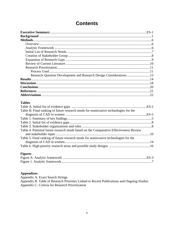| <b>Contents</b> |  |
|-----------------|--|
|-----------------|--|

| Methods.                                                            |  |
|---------------------------------------------------------------------|--|
|                                                                     |  |
|                                                                     |  |
|                                                                     |  |
|                                                                     |  |
|                                                                     |  |
|                                                                     |  |
|                                                                     |  |
|                                                                     |  |
| Research Question Development and Research Design Considerations 13 |  |
|                                                                     |  |
|                                                                     |  |
|                                                                     |  |
|                                                                     |  |
|                                                                     |  |
|                                                                     |  |

## **Tables**

| Table B. Final ranking of future research needs for noninvasive technologies for the   |  |
|----------------------------------------------------------------------------------------|--|
|                                                                                        |  |
|                                                                                        |  |
|                                                                                        |  |
|                                                                                        |  |
| Table 4. Potential future research needs based on the Comparative Effectiveness Review |  |
|                                                                                        |  |
| Table 5. Final ranking of future research needs for noninvasive technologies for the   |  |
|                                                                                        |  |
|                                                                                        |  |

## **Figures**

#### **Appendixes**

Appendix A. Exact Search Strings<br>Appendix B. Table of Research Priorities Linked to Recent Publications and Ongoing Studies Appendix C. Criteria for Research Prioritization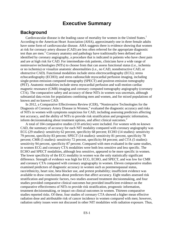## **Executive Summary**

## **Background**

Cardiovascular disease is the leading cause of mortality for women in the United States.<sup>1</sup> According to the American Heart Association (AHA), approximately one in three female adults have some form of cardiovascular disease. AHA suggests there is evidence showing that women at risk for coronary artery disease (CAD) are less often referred for the appropriate diagnostic test than are men.<sup>1</sup> Coronary anatomy and pathology have traditionally been defined and identified by coronary angiography, a procedure that is indicated in patients who have chest pain and are at high risk for CAD. For intermediate-risk patients, clinicians have a wide range of noninvasive technologies (NITs) to choose from that can assess functional status (i.e., ischemia or no ischemia) or visualize anatomic abnormalities (i.e., no CAD, nonobstructive CAD, or obstructive CAD). Functional modalities include stress electrocardiography (ECG); stress echocardiography (ECHO); and stress radionuclide myocardial perfusion imaging, including single-proton emission computed tomography (SPECT) and positron emission tomography (PET). Anatomic modalities include stress myocardial perfusion and wall-motion cardiac magnetic resonance (CMR) imaging and coronary computed tomography angiography (coronary CTA). The comparative safety and accuracy of these NITs in women was uncertain, although substantial data exists for populations combining men and women, and for mixed populations of known and no known CAD.

In 2012, a Comparative Effectiveness Review (CER), "Noninvasive Technologies for the Diagnosis of Coronary Artery Disease in Women," evaluated the diagnostic accuracy and risks of NITs in women with symptoms suspicious for CAD, including assessing predictors affecting test accuracy, and the ability of NITs to provide risk stratification and prognostic information, inform decisionmaking about treatment options, and affect clinical outcomes.<sup>2</sup>

A total of 104 comparative studies (110 articles) were included. For women with no known CAD, the summary of accuracy for each NIT modality compared with coronary angiography was ECG (29 studies): sensitivity 62 percent, specificity 68 percent; ECHO (14 studies): sensitivity 79 percent, specificity 83 percent; SPECT (14 studies): sensitivity 81 percent, specificity 78 percent; CMR (5 studies): sensitivity 72 percent, specificity 84 percent; and CTA (5 studies): sensitivity 94 percent, specificity 87 percent. Compared with men evaluated in the same studies, in women ECG and coronary CTA modalities were both less sensitive and less specific. The ECHO and SPECT modalities, although less sensitive, appeared to be more specific in women. The lower specificity of the ECG modality in women was the only statistically significant difference. Strength of evidence was high for ECG, ECHO, and SPECT, and was low for CMR and coronary CTA compared with coronary angiography in women. Eleven comparative studies examined predictors of diagnostic accuracy in women such as postmenopausal status, race/ethnicity, heart size, beta blocker use, and pretest probability; insufficient evidence was available to draw conclusions about predictors that affect accuracy. Eight studies assessed risk stratification and prognostic factors, two studies assessed treatment decisionmaking, and four studies provided comparative clinical outcomes but provided insufficient evidence on the comparative effectiveness of NITs to provide risk stratification, prognostic information, treatment decisionmaking, or impact on clinical outcomes in women. Thirteen comparative studies reported risks. Of these, four studies of coronary CTA showed a higher mean effective radiation dose and attributable risk of cancer incidence in women compared with men; however, radiation safety issues were not discussed in other NIT modalities with radiation exposure. Thus,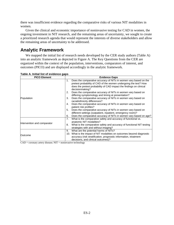there was insufficient evidence regarding the comparative risks of various NIT modalities in women.

Given the clinical and economic importance of noninvasive testing for CAD in women, the ongoing investment in NIT research, and the remaining areas of uncertainty, we sought to create a prioritized research agenda that would represent the interests of diverse stakeholders and allow the remaining areas of uncertainty to be addressed.

## **Analytic Framework**

We mapped the initial list of research needs developed by the CER study authors (Table A) into an analytic framework as depicted in Figure A. The Key Questions from the CER are organized within the context of the population, interventions, comparators of interest, and outcomes (PICO) and are displayed accordingly in the analytic framework.

| <b>PICO Element</b>         | <b>Evidence Gaps</b>                                                                                                                                                                                              |  |  |
|-----------------------------|-------------------------------------------------------------------------------------------------------------------------------------------------------------------------------------------------------------------|--|--|
|                             | Does the comparative accuracy of NITs in women vary based on the<br>1.<br>pretest probability of CAD of the women undergoing the test? How<br>does the pretest probability of CAD impact the findings on clinical |  |  |
|                             | decisionmaking?                                                                                                                                                                                                   |  |  |
|                             | Does the comparative accuracy of NITs in women vary based on<br>2.<br>differing symptomology and timing at presentation?                                                                                          |  |  |
| Population                  | Does the comparative accuracy of NITs in women vary based on<br>3.<br>racial/ethnicity differences?                                                                                                               |  |  |
|                             | Does the comparative accuracy of NITs in women vary based on<br>4.<br>patient risk profiles?                                                                                                                      |  |  |
|                             | Does the comparative accuracy of NITs in women vary based on<br>5.                                                                                                                                                |  |  |
|                             | different settings (outpatient, inpatient, emergency room)?                                                                                                                                                       |  |  |
|                             | Does the comparative accuracy of NITs in women vary based on age?<br>6.                                                                                                                                           |  |  |
|                             | What is the comparative safety and accuracy of functional vs.<br>7.<br>anatomic NIT modalities?                                                                                                                   |  |  |
| Intervention and comparator | What is the comparative safety and accuracy of functional NIT testing<br>8.                                                                                                                                       |  |  |
|                             | strategies with and without imaging?                                                                                                                                                                              |  |  |
|                             | What are the potential harms of NITs?<br>9.                                                                                                                                                                       |  |  |
| Outcome                     | 10. What is the impact of NIT modalities on outcomes beyond diagnostic                                                                                                                                            |  |  |
|                             | accuracy (risk stratification, prognostic information, treatment                                                                                                                                                  |  |  |
|                             | decisions, and clinical outcomes)?                                                                                                                                                                                |  |  |

|  |  | Table A. Initial list of evidence gaps |  |
|--|--|----------------------------------------|--|
|  |  |                                        |  |

 $CAD = \text{coronary artery disease}; NIT = \text{noninvasive technology}$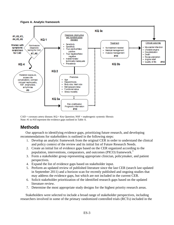#### **Figure A. Analytic framework**



 $CAD = \text{coronary artery disease}; KQ = Key Question; NSF = \text{nephrogenic systemic fibrosis}$ Note: #1 to #10 represent the evidence gaps outlined in Table A.

## **Methods**

Our approach to identifying evidence gaps, prioritizing future research, and developing recommendations for stakeholders is outlined in the following steps:

- 1. Develop an analytic framework from the original CER in order to understand the clinical and policy context of the review and its initial list of Future Research Needs.
- 2. Create an initial list of evidence gaps based on the CER organized according to the population, interventions, comparators, and outcomes (PICO) framework.<sup>3</sup>
- 3. Form a stakeholder group representing appropriate clinician, policymaker, and patient perspectives.
- 4. Expand the list of evidence gaps based on stakeholder input.
- 5. Perform an updated review of published literature since the last CER (search last updated in September 2011) and a horizon scan for recently published and ongoing studies that may address the evidence gaps, but which are not included in the current CER.
- 6. Solicit stakeholder prioritization of the identified research gaps based on the updated literature review.
- 7. Determine the most appropriate study designs for the highest priority research areas.

Stakeholders were selected to include a broad range of stakeholder perspectives, including researchers involved in some of the primary randomized controlled trials (RCTs) included in the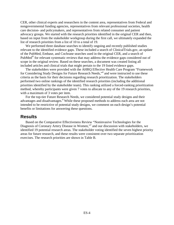CER, other clinical experts and researchers in the content area, representatives from Federal and nongovernmental funding agencies, representatives from relevant professional societies, health care decision- and policymakers, and representatives from related consumer and patient advocacy groups. We started with the research priorities identified in the original CER and then, based on input from the stakeholder workgroup during the first call, we ultimately expanded the list of research priorities from a list of 10 to a total of 19.

We performed three database searches to identify ongoing and recently published studies relevant to the identified evidence gaps. These included a search of ClinicalTrials.gov, an update of the PubMed, Embase, and Cochrane searches used in the original CER, and a search of PubMed<sup>®</sup> for relevant systematic reviews that may address the evidence gaps considered out of scope in the original review. Based on these searches, a document was created listing all included articles and clinical trials that might pertain to the 19 listed evidence gaps.

The stakeholders were provided with the AHRQ Effective Health Care Program "Framework for Considering Study Designs for Future Research Needs,"<sup>4</sup> and were instructed to use these criteria as the basis for their decisions regarding research prioritization. The stakeholders performed two online rankings of the identified research priorities (including the additional priorities identified by the stakeholder team). This ranking utilized a forced-ranking prioritization method, whereby participants were given 7 votes to allocate to any of the 19 research priorities, with a maximum of 3 votes per item.

For the top-tier Future Research Needs, we considered potential study designs and their advantages and disadvantages.4 While these proposed methods to address each area are not intended to be restrictive of potential study designs, we comment on each design's potential benefits or limitations for answering these questions.

### **Results**

Based on the Comparative Effectiveness Review "Noninvasive Technologies for the Diagnosis of Coronary Artery Disease in Women,"<sup>2</sup> and our discussion with stakeholders, we identified 19 potential research areas. The stakeholder voting identified the seven highest priority areas for future research, and these results were consistent over two separate prioritization exercises. The research priorities are shown in Table B.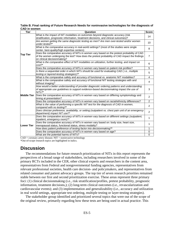**Table B. Final ranking of Future Research Needs for noninvasive technologies for the diagnosis of CAD in women**

| Tier               | Question                                                                                                                                                                                                                    | <b>Score</b>   |
|--------------------|-----------------------------------------------------------------------------------------------------------------------------------------------------------------------------------------------------------------------------|----------------|
|                    | What is the impact of NIT modalities on outcomes beyond diagnostic accuracy (risk<br>stratification, prognostic information, treatment decisions, and clinical outcomes)?                                                   | 14             |
|                    | Are women getting the same diagnostic testing as men? Are men over-tested and/or women<br>under-tested?*                                                                                                                    | 10             |
|                    | What is the comparative accuracy in real-world settings? (most of the studies were single<br>center, best-quality/high expertise centers)                                                                                   | 8              |
| <b>Top Tier</b>    | Does the comparative accuracy of NITs in women vary based on the pretest probability of CAD<br>of the women undergoing the test? How does the pretest probability of CAD impact the findings<br>on clinical decisionmaking? | 7              |
|                    | What is the comparative effect of NIT modalities on utilization, further testing, and impact on<br>cost?*                                                                                                                   | 6              |
|                    | Does the comparative accuracy of NITs in women vary based on patient risk profiles?                                                                                                                                         | 5              |
|                    | Is there a sequential order in which NITs should be used for evaluating CAD (i.e., multiple<br>testing or layered-testing strategies)?*                                                                                     | 5              |
|                    | What is the comparative safety and accuracy of functional vs. anatomic NIT modalities?                                                                                                                                      | 4              |
|                    | What is the comparative safety and accuracy of functional NIT testing strategies with and<br>without imaging?                                                                                                               | 4              |
| <b>Middle Tier</b> | How would a better understanding of provider diagnostic ordering patterns and understanding<br>of appropriate use guidelines to support evidence-based decisionmaking impact the use of<br>$NITs$ ?*                        | 3              |
|                    | Does the comparative accuracy of NITs in women vary based on differing symptomology and<br>timing at presentation?                                                                                                          | 2              |
|                    | Does the comparative accuracy of NITs in women vary based on racial/ethnicity differences?                                                                                                                                  | $\overline{c}$ |
|                    | What is the value of performing a specific NIT test for the diagnosis of CAD in women,<br>compared with no testing?*                                                                                                        | $\overline{2}$ |
|                    | Does clinician preference, availability, or setting (outpatient vs. chest pain unit of an emergency<br>department) impact NIT use?*                                                                                         | 2              |
|                    | Does the comparative accuracy of NITs in women vary based on different settings (outpatient,<br>inpatient, emergency room)?*                                                                                                | 1              |
| <b>Lower Tier</b>  | Does the comparative accuracy of NITs in women vary based on: body size, heart size,<br>menopausal status, functional status, stress modality?                                                                              | 1              |
|                    | How does patient preference of testing factor into decisionmaking?*                                                                                                                                                         | 1              |
|                    | Does the comparative accuracy of NITs in women vary based on age?                                                                                                                                                           | 0              |
|                    | What are the potential harms of NITs?                                                                                                                                                                                       | $\mathbf 0$    |

 $CAD = \text{coronary artery disease}; NIT = \text{noninvasive technology}$ \*Out-of-scope research topics are highlighted in italics.

## **Discussion**

The recommendations for future research prioritization of NITs in this report represents the perspectives of a broad range of stakeholders, including researchers involved in some of the primary RCTs included in the CER, other clinical experts and researchers in the content area, representatives from Federal and nongovernmental funding agencies, representatives from relevant professional societies, health care decision- and policymakers, and representatives from related consumer and patient advocacy groups. The top tier of seven research priorities remained stable between our first and second prioritization exercise. These areas represent three primary foci: (1) clinical decisionmaking (i.e., risk stratification/profiles, pretest probability, prognostic information, treatment decisions,); (2) long-term clinical outcomes (i.e., revascularization and cardiovascular events); and (3) implementation and generalizability (i.e., accuracy and utilization in real world settings, appropriate test ordering, multiple testing or layer-testing strategies).

The stakeholder group identified and prioritized several topics that were out of the scope of the original review, primarily regarding how these tests are being used in actual practice. This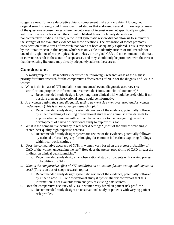suggests a need for more descriptive data to complement trial accuracy data. Although our original search strategy could have identified studies that addressed several of these topics, many of the questions represent ones where the outcomes of interest were not specifically targeted within our review or for which the current published literature largely depends on noncomparative studies. As such, our current systematic review did not allow us to summarize the strength of the available evidence for these questions. The expansion of topics promotes consideration of new areas of research that have not been adequately explored. This is evidenced by the literature scan in this report, which was only able to identify articles or trial records for one of the eight out-of-scope topics. Nevertheless, the original CER did not comment on the state of current research in these out-of-scope areas, and they should only be promoted with the caveat that the existing literature may already adequately address these areas.

## **Conclusions**

A workgroup of 11 stakeholders identified the following 7 research areas as the highest priority for future research for the comparative effectiveness of NITs for the diagnosis of CAD in women.

- 1. What is the impact of NIT modalities on outcomes beyond diagnostic accuracy (risk stratification, prognostic information, treatment decisions, and clinical outcomes)?
	- a. Recommended study design: large, long-term clinical trial would be preferable, if not possible then an observational study could be informative
- 2. *Are women getting the same diagnostic testing as men? Are men overtested and/or women undertested?* (This is an out-of-scope research topic.)
	- a. Recommended study design: systematic review of the evidence, potentially followed by either modeling of existing observational studies and administrative datasets to explore whether women with similar characteristics to men are getting tested or development of a new observational study to explore this gap
- 3. What is the comparative accuracy in real world settings? (most of the studies were single center, best-quality/high-expertise centers)
	- a. Recommended study design: systematic review of the evidence, potentially followed by national or broad registry for imaging for common indications exploring findings within real-world settings
- 4. Does the comparative accuracy of NITs in women vary based on the pretest probability of CAD of the women undergoing the test? How does the pretest probability of CAD impact the findings on clinical decisionmaking?
	- a. Recommended study designs: an observational study of patients with varying pretest probabilities of CAD
- 5. *What is the comparative effect of NIT modalities on utilization, further testing, and impact on cost?* (This is an out-of-scope research topic.)
	- a. Recommended study design: systematic review of the evidence, potentially followed by either a new RCT or observational study if systematic review reveals that this information is not available from analysis of existing data sources
- 6. Does the comparative accuracy of NITs in women vary based on patient risk profiles?
	- a. Recommended study design: an observational study of patients with varying patient risk profiles.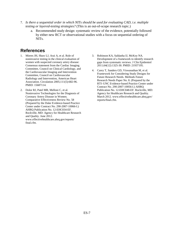- 7. *Is there a sequential order in which NITs should be used for evaluating CAD, i.e. multiple testing or layered-testing strategies?* (This is an out-of-scope research topic.)
	- a. Recommended study design: systematic review of the evidence, potentially followed by either new RCT or observational studies with a focus on sequential ordering of NITs.

## **References**

- 1. Mieres JH, Shaw LJ, Arai A, et al. Role of noninvasive testing in the clinical evaluation of women with suspected coronary artery disease: Consensus statement from the Cardiac Imaging Committee, Council on Clinical Cardiology, and the Cardiovascular Imaging and Intervention Committee, Council on Cardiovascular Radiology and Intervention, American Heart Association. Circulation 2005;111(5):682-96. PMID: 15687114.
- 2. Dolor RJ, Patel MR, Melloni C, et al. Noninvasive Technologies for the Diagnosis of Coronary Artery Disease in Women. Comparative Effectiveness Review No. 58 (Prepared by the Duke Evidence-based Practice Center under Contract No. 290-2007-10066-I.) AHRQ Publication No. 12-EHC034-EF. Rockville, MD: Agency for Healthcare Research and Quality. June 2012. www.effectivehealthcare.ahrq.gov/reports/ final.cfm.
- 3. Robinson KA, Saldanha IJ, McKoy NA. Development of a framework to identify research gaps from systematic reviews. J Clin Epidemiol 2011;64(12):1325-30. PMID: 21937195.
- 4. Carey T, Sanders GD, Viswanathan M, et al. Framework for Considering Study Designs for Future Research Needs. Methods Future Research Needs Paper No. 8. (Prepared by the RTI–UNC Evidence-based Practice Center under Contract No. 290-2007-10056-I.) AHRQ Publication No. 12-EHC048-EF. Rockville, MD: Agency for Healthcare Research and Quality. March 2012. www.effectivehealthcare.ahrq.gov/ reports/final.cfm.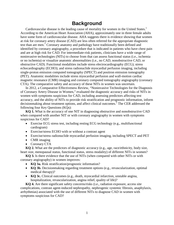# **Background**

Cardiovascular disease is the leading cause of mortality for women in the United States.<sup>1</sup> According to the American Heart Association (AHA), approximately one in three female adults have some form of cardiovascular disease. AHA suggests there is evidence showing that women at risk for coronary artery disease (CAD) are less often referred for the appropriate diagnostic test than are men.<sup>1</sup> Coronary anatomy and pathology have traditionally been defined and identified by coronary angiography, a procedure that is indicated in patients who have chest pain and are at high risk for CAD. For intermediate-risk patients, clinicians have a wide range of noninvasive technologies (NITs) to choose from that can assess functional status (i.e., ischemia or no ischemia) or visualize anatomic abnormalities (i.e., no CAD, nonobstructive CAD, or obstructive CAD). Functional modalities include stress electrocardiography (ECG); stress echocardiography (ECHO); and stress radionuclide myocardial perfusion imaging, including single-proton emission computed tomography (SPECT) and positron emission tomography (PET). Anatomic modalities include stress myocardial perfusion and wall-motion cardiac magnetic resonance (CMR) imaging and coronary computed tomography angiography (coronary CTA). The comparative safety and accuracy of these NITs in women was uncertain.

In 2012, a Comparative Effectiveness Review, "Noninvasive Technologies for the Diagnosis of Coronary Artery Disease in Women," evaluated the diagnostic accuracy and risks of NITs in women with symptoms suspicious for CAD, including assessing predictors affecting test accuracy, and the ability of NITs to provide risk stratification and prognostic information, inform decisionmaking about treatment options, and affect clinical outcomes.<sup>2</sup> The CER addressed the following four Key Questions (KQs):

**KO 1.** What is the accuracy of one NIT in diagnosing obstructive and nonobstructive CAD when compared with another NIT or with coronary angiography in women with symptoms suspicious for CAD?

- Exercise ECG stress test, including resting ECG technology (e.g., multifunctional cardiogram)
- Exercise/stress ECHO with or without a contrast agent
- Exercise/stress radionuclide myocardial perfusion imaging, including SPECT and PET
- CMR imaging
- Coronary CTA

**KQ 2.** What are the predictors of diagnostic accuracy (e.g., age, race/ethnicity, body size, heart size, menopausal status, functional status, stress modality) of different NITs in women?

**KQ 3.** Is there evidence that the use of NITs (when compared with other NITs or with coronary angiography) in women improves:

- **KQ 3a.** Risk stratification/prognostic information?
- **KQ 3b.** Decisionmaking regarding treatment options (e.g., revascularization, optimal medical therapy)?
- **KQ 3c.** Clinical outcomes (e.g., death, myocardial infarction, unstable angina, hospitalization, revascularization, angina relief, quality of life)?

**KQ 4.** Are there significant safety concerns/risks (i.e., radiation exposure, access site complications, contrast agent-induced nephropathy, nephrogenic systemic fibrosis, anaphylaxis, arrhythmias) associated with the use of different NITs to diagnose CAD in women with symptoms suspicious for CAD?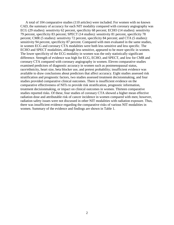A total of 104 comparative studies (110 articles) were included. For women with no known CAD, the summary of accuracy for each NIT modality compared with coronary angiography was ECG (29 studies): sensitivity 62 percent, specificity 68 percent; ECHO (14 studies): sensitivity 79 percent, specificity 83 percent; SPECT (14 studies): sensitivity 81 percent, specificity 78 percent; CMR (5 studies): sensitivity 72 percent, specificity 84 percent; and CTA (5 studies): sensitivity 94 percent, specificity 87 percent. Compared with men evaluated in the same studies, in women ECG and coronary CTA modalities were both less sensitive and less specific. The ECHO and SPECT modalities, although less sensitive, appeared to be more specific in women. The lower specificity of the ECG modality in women was the only statistically significant difference. Strength of evidence was high for ECG, ECHO, and SPECT, and low for CMR and coronary CTA compared with coronary angiography in women. Eleven comparative studies examined predictors of diagnostic accuracy in women such as postmenopausal status, race/ethnicity, heart size, beta blocker use, and pretest probability; insufficient evidence was available to draw conclusions about predictors that affect accuracy. Eight studies assessed risk stratification and prognostic factors, two studies assessed treatment decisionmaking, and four studies provided comparative clinical outcomes. There is insufficient evidence on the comparative effectiveness of NITs to provide risk stratification, prognostic information, treatment decisionmaking, or impact on clinical outcomes in women. Thirteen comparative studies reported risks. Of these, four studies of coronary CTA showed a higher mean effective radiation dose and attributable risk of cancer incidence in women compared with men; however, radiation safety issues were not discussed in other NIT modalities with radiation exposure. Thus, there was insufficient evidence regarding the comparative risks of various NIT modalities in women. Summary of the evidence and findings are shown in Table 1.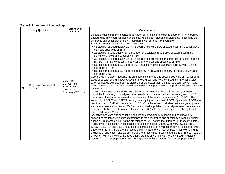#### **Table 1. Summary of key findings**

| <b>Key Question</b>                           | Strength of<br><b>Evidence</b>                                          | <b>Conclusions</b>                                                                                                                                                                                                                                                                                                                                                                                                                                                                                                                                                                                                                                                                                                                                                                                                                                                                                                                                                                                                                                                                                                                                                                                                                                                                                                                                                                                                                                                                                                                                                                                                                                                                                                                                                                                                                                                                                                                                                                                                                                                                                                                                                                                                                                                                                                                                                                                                                                                                                                                                                                                                                                                                                                                                                                                                                                                                                                                                                                                                                                                                                     |
|-----------------------------------------------|-------------------------------------------------------------------------|--------------------------------------------------------------------------------------------------------------------------------------------------------------------------------------------------------------------------------------------------------------------------------------------------------------------------------------------------------------------------------------------------------------------------------------------------------------------------------------------------------------------------------------------------------------------------------------------------------------------------------------------------------------------------------------------------------------------------------------------------------------------------------------------------------------------------------------------------------------------------------------------------------------------------------------------------------------------------------------------------------------------------------------------------------------------------------------------------------------------------------------------------------------------------------------------------------------------------------------------------------------------------------------------------------------------------------------------------------------------------------------------------------------------------------------------------------------------------------------------------------------------------------------------------------------------------------------------------------------------------------------------------------------------------------------------------------------------------------------------------------------------------------------------------------------------------------------------------------------------------------------------------------------------------------------------------------------------------------------------------------------------------------------------------------------------------------------------------------------------------------------------------------------------------------------------------------------------------------------------------------------------------------------------------------------------------------------------------------------------------------------------------------------------------------------------------------------------------------------------------------------------------------------------------------------------------------------------------------------------------------------------------------------------------------------------------------------------------------------------------------------------------------------------------------------------------------------------------------------------------------------------------------------------------------------------------------------------------------------------------------------------------------------------------------------------------------------------------------|
| KQ 1. Diagnostic accuracy of<br>NITs in women | ECG: High<br>ECHO: High<br>SPECT: High<br>CMR: Low<br>Coronary CTA: Low | 94 studies described the diagnostic accuracy of NITs in comparison to another NIT or coronary<br>angiography in women. Of these 94 studies, 78 studies included sufficient data to estimate the<br>sensitivity and specificity of the NIT compared with coronary angiography.<br>Summary from all studies with no known CAD:<br>• 41 studies (13 good quality, 22 fair, 6 poor) of exercise ECG showed a summary sensitivity of<br>62% and specificity of 68%<br>• 22 studies (8 good quality, 13 fair, 1 poor) of exercise/stress ECHO showed a summary<br>sensitivity of 79% and specificity of 83%<br>· 30 studies (10 good quality, 15 fair, 5 poor) of exercise/stress radionuclide perfusion imaging<br>(SPECT, PET) showed a summary sensitivity of 81% and specificity of 78%<br>• 6 studies (5 good quality, 1 fair) of CMR imaging showed a summary sensitivity of 72% and<br>specificity of 84%<br>• 8 studies (4 good quality, 4 fair) of coronary CTA showed a summary sensitivity of 93% and<br>specificity 77%<br>Overall, within a given modality, the summary sensitivities and specificities were similar for both<br>types of populations (unknown CAD and mixed known and no known CAD) and for all studies<br>when compared with good-quality studies. For the newer technologies (i.e., coronary CTA and<br>CMR), more studies in women would be needed to support these findings since the 95% CIs were<br>quite wide.<br>In testing for a statistically significant difference between the diagnostic accuracy of testing<br>modalities in women, our analyses determined that for women with no previously known CAD,<br>there were differences between the performance of the available modalities ( $p < 0.001$ ). The<br>sensitivity of ECHO and SPECT was significantly higher than that of ECG. Specificity of ECG was<br>less than that of CMR (borderline) and of ECHO. In the subset of studies that were good-quality<br>and where there was no known CAD in the included population, our analyses again demonstrated<br>differences between performance of tests ( $p = 0.006$ ) with the specificity of ECG being less than<br>that of CMR and ECHO.<br>Sensitivity analyses exploring mixed populations of women with known and no known CAD<br>showed no statistically significant difference in the sensitivities and specificities from our primary<br>analysis. An analysis exploring the prevalence of CAD across the different NIT modality studies<br>also showed no statistically significant difference. In addition, there were very few studies (1<br>SPECT, 1 ECHO, and 3 ECG) that did not complete a coronary angiography in all patients who<br>underwent the NIT; therefore the results are minimized for verification bias. Finally we found no<br>evidence of publication bias across the different modalities in our 4 populations of interest (studies<br>of women with no known CAD, good quality studies of women with no known CAD, studies of<br>women from mixed populations, and good quality studies of women from mixed populations). |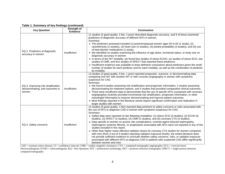#### **Table 1. Summary of key findings (continued)**

| <b>Key Question</b>                                                              | Strength of<br>Evidence | <b>Conclusions</b>                                                                                                                                                                                                                                                                                                                                                                                                                                                                                                                                                                                                                                                                                                                                                                                                                                                                                                                                                                                                                                                                    |
|----------------------------------------------------------------------------------|-------------------------|---------------------------------------------------------------------------------------------------------------------------------------------------------------------------------------------------------------------------------------------------------------------------------------------------------------------------------------------------------------------------------------------------------------------------------------------------------------------------------------------------------------------------------------------------------------------------------------------------------------------------------------------------------------------------------------------------------------------------------------------------------------------------------------------------------------------------------------------------------------------------------------------------------------------------------------------------------------------------------------------------------------------------------------------------------------------------------------|
| KQ 2. Predictors of diagnostic<br>accuracy in women                              | Insufficient            | 11 studies (4 good quality, 5 fair, 2 poor) described diagnostic accuracy, and 9 of these examined<br>predictors of diagnostic accuracy of different NITs in women.<br>Summary:<br>• The predictors assessed included (1) postmenopausal women ages 55 to 64 (1 study), (2)<br>race/ethnicity (2 studies), (3) heart size (4 studies), (4) pretest probability (3 studies), and (5) use<br>of beta blocker medications (1 study).<br>• We identified no studies examining the influence of age alone, functional status, or body size on<br>diagnostic accuracy in women.<br>• In terms of the NIT modality, we found four studies of stress ECHO, six studies of stress ECG, two<br>studies of CMR, and four studies of SPECT that reported these predictors.<br>• Insufficient evidence was available to draw definitive conclusions about predictors given the small<br>number of studies for each predictor and for each modality, as well as the combination of predictor<br>by modality.                                                                                        |
| KQ 3. Improving risk stratification,<br>decisionmaking, and outcomes in<br>women | Insufficient            | 13 studies (3 good quality, 9 fair, 1 poor) reported prognostic, outcome, or decisionmaking data<br>comparing one NIT with another NIT or with coronary angiography in women with symptoms<br>suspicious for CAD.<br>Summary:<br>• We found 8 studies assessing risk stratification and prognostic information, 2 studies assessing<br>decisionmaking for treatment options, and 4 studies that provided comparative clinical outcomes.<br>• There were insufficient data to demonstrate that the use of specific NITs (compared with coronary<br>angiography) routinely provided incremental risk stratification, prognostic information, or other<br>meaningful information to improve decisionmaking and improve patient outcomes.<br>• Most findings reported in the literature would require significant confirmation and replication in<br>larger studies with women.                                                                                                                                                                                                           |
| KQ 4. Safety concerns                                                            | Insufficient            | 13 studies (9 good quality, 4 fair) reported data pertinent to safety concerns or risks associated with<br>the use of NITs to diagnose CAD in women with symptoms suspicious for CAD.<br>Summary:<br>• Safety data were reported on the following modalities: (1) stress ECG (4 studies), (2) ECHO (6<br>studies), (3) SPECT (3 studies), (4) CMR (2 studies), and (5) coronary CTA (4 studies).<br>• Data specific to women on access site complications, contrast agent-induced nephropathy,<br>nephrogenic systemic fibrosis, or anaphylaxis associated with NITs were not reported in any of the<br>studies included in this report.<br>• Other than higher mean effective radiation doses for coronary CTA studies for women compared<br>with men (from 3 out of 4 studies reporting radiation exposure levels), the extant literature does<br>not provide sufficient evidence to conclude whether safety concerns, risks, or radiation exposure<br>associated with different NITs to diagnose CAD in patients with suspected CAD differ significantly<br>between women and men. |

CAD = coronary artery disease; CI = confidence interval; CMR = cardiac magnetic resonance; CTA = computed tomography angiography; ECG = exercise/stress electrocardiogram; ECHO = echocardiogram; KQ = Key Question; NIT = noninvasive technology; PET = positron emission tomography; SPECT = single-proton emission computed tomography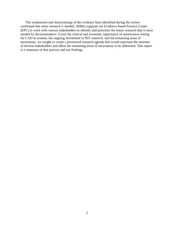The weaknesses and shortcomings of the evidence base identified during the review confirmed that more research is needed. AHRQ supports our Evidence-based Practice Center (EPC) to work with various stakeholders to identify and prioritize the future research that is most needed by decisionmakers. Given the clinical and economic importance of noninvasive testing for CAD in women, the ongoing investment in NIT research, and the remaining areas of uncertainty, we sought to create a prioritized research agenda that would represent the interests of diverse stakeholders and allow the remaining areas of uncertainty to be addressed. This report is a summary of that process and our findings.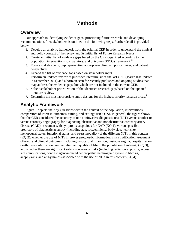# **Methods**

## **Overview**

Our approach to identifying evidence gaps, prioritizing future research, and developing recommendations for stakeholders is outlined in the following steps. Further detail is provided below.

- 1. Develop an analytic framework from the original CER in order to understand the clinical and policy context of the review and its initial list of Future Research Needs.
- 2. Create an initial list of evidence gaps based on the CER organized according to the population, interventions, comparators, and outcomes (PICO) framework.<sup>3</sup>
- 3. Form a stakeholder group representing appropriate clinician, policymaker, and patient perspectives.
- 4. Expand the list of evidence gaps based on stakeholder input.
- 5. Perform an updated review of published literature since the last CER (search last updated in September 2011) and a horizon scan for recently published and ongoing studies that may address the evidence gaps, but which are not included in the current CER.
- 6. Solicit stakeholder prioritization of the identified research gaps based on the updated literature review.
- 7. Determine the most appropriate study designs for the highest priority research areas.<sup>4</sup>

# **Analytic Framework**

Figure 1 depicts the Key Questions within the context of the population, interventions, comparators of interest, outcomes, timing, and settings (PICOTS). In general, the figure shows that the CER considered the accuracy of one noninvasive diagnostic test (NIT) versus another or versus coronary angiography for diagnosing obstructive and nonobstructive coronary artery disease (CAD) in women with symptoms suspicious for CAD (KQ 1); various possible predictors of diagnostic accuracy (including age, race/ethnicity, body size, heart size, menopausal status, functional status, and stress modality) of the different NITs in this context (KQ 2); whether the use of NITs improves prognostic information, risk stratification, treatment offered, and clinical outcomes (including myocardial infarction, unstable angina, hospitalization, death, revascularization, angina relief, and quality of life in the population of interest) (KQ 3); and whether there are significant safety concerns or risks (including radiation exposure, access site complications, contrast agent-induced nephropathy, nephrogenic systemic fibrosis, anaphylaxis, and arrhythmias) associated with the use of NITs in this context (KQ 4).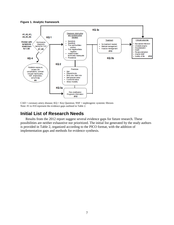

**Figure 1. Analytic framework**

 $CAD = \text{coronary artery disease}; KQ = Key Question; NSF = \text{nephrogenic systemic fibrosis}$ Note: #1 to #10 represent the evidence gaps outlined in Table 2.

## **Initial List of Research Needs**

Results from the 2012 report suggest several evidence gaps for future research. These possibilities are neither exhaustive nor prioritized. The initial list generated by the study authors is provided in Table 2, organized according to the PICO format, with the addition of implementation gaps and methods for evidence synthesis.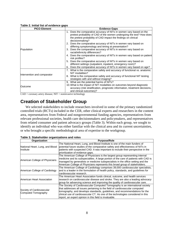| <b>PICO Element</b>         | <b>Evidence Gaps</b>                                                                                                                                                                                                                                                                                 |
|-----------------------------|------------------------------------------------------------------------------------------------------------------------------------------------------------------------------------------------------------------------------------------------------------------------------------------------------|
|                             | 1. Does the comparative accuracy of NITs in women vary based on the<br>pretest probability of CAD of the women undergoing the test? How does<br>the pretest probability of CAD impact the findings on clinical<br>decisionmaking?<br>2. Does the comparative accuracy of NITs in women vary based on |
| Population                  | differing symptomology and timing at presentation?<br>3. Does the comparative accuracy of NITs in women vary based on<br>racial/ethnicity differences?                                                                                                                                               |
|                             | 4. Does the comparative accuracy of NITs in women vary based on patient<br>risk profiles?                                                                                                                                                                                                            |
|                             | 5. Does the comparative accuracy of NITs in women vary based on<br>different settings (outpatient, inpatient, emergency room)?<br>6. Does the comparative accuracy of NITs in women vary based on age?                                                                                               |
|                             | 7. What is the comparative safety and accuracy of functional vs. anatomic<br>NIT modalities?                                                                                                                                                                                                         |
| Intervention and comparator | 8. What is the comparative safety and accuracy of functional NIT testing<br>strategies with and without imaging?                                                                                                                                                                                     |
|                             | 9. What are the potential harms of NITs?                                                                                                                                                                                                                                                             |
| lOutcome                    | 10. What is the impact of NIT modalities on outcomes beyond diagnostic<br>accuracy (risk stratification, prognostic information, treatment decisions,<br>and clinical outcomes)?                                                                                                                     |

#### **Table 2. Initial list of evidence gaps**

 $CAD = \text{coronary artery disease}; NIT = \text{noninvasive technology}$ 

## **Creation of Stakeholder Group**

We selected stakeholders to include researchers involved in some of the primary randomized controlled trials (RCTs) included in the CER, other clinical experts and researchers in the content area, representatives from Federal and nongovernmental funding agencies, representatives from relevant professional societies, health care decisionmakers and policymakers, and representatives from related consumer and patient advocacy groups (Table 3). Within each group, we sought to identify an individual who was either familiar with the clinical area and its current uncertainties, or who brought a specific methodological area of expertise to the workgroup.

| Organization                                     | <b>Purpose/Role</b>                                                                                                                                                                                                                                                                                                                                                                        |
|--------------------------------------------------|--------------------------------------------------------------------------------------------------------------------------------------------------------------------------------------------------------------------------------------------------------------------------------------------------------------------------------------------------------------------------------------------|
| National Heart, Lung, and Blood<br>Institute     | The National Heart, Lung, and Blood Institute is one of the main funders of<br>potential future studies of the comparative safety and effectiveness of NITs in<br>patients with suspected CAD. It was important to include their perspective in the<br>prioritization of evidence gaps.                                                                                                    |
| American College of Physicians                   | The American College of Physicians is the largest group representing internal<br>medicine and its subspecialties. A large portion of the care of patients with CAD is<br>managed by generalists or medicine subspecialists in the office setting and the<br>American College of Physicians represents this broad group of stakeholders.                                                    |
| American College of Cardiology                   | The American College of Cardiology comprises 39,000 cardiovascular specialists,<br>and is a leader in the formulation of health policy, standards, and guidelines for<br>cardiovascular research.                                                                                                                                                                                          |
| American Heart Association                       | The American Heart Association funds clinical, outcome, and health services<br>research on cardiovascular disease and stroke. They are also a leading advocacy<br>group for advancing science and improving the quality of cardiovascular care.                                                                                                                                            |
| Society of Cardiovascular<br>Computed Tomography | The Society of Cardiovascular Computed Tomography is an international society<br>that addresses all issues pertaining to the field of cardiovascular computed<br>tomography, and develops standards, guidelines, and recommendations for the<br>clinical use of cardiovascular CT. As one of the technologies considered in this<br>report, an expert opinion in this field is invaluable. |

**Table 3. Stakeholder organizations and roles**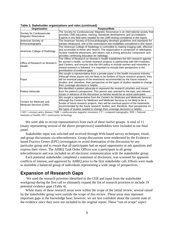| Organization                                        | <b>Purpose/Role</b>                                                                                                                                                                                                                                                                                                                                                                                                      |
|-----------------------------------------------------|--------------------------------------------------------------------------------------------------------------------------------------------------------------------------------------------------------------------------------------------------------------------------------------------------------------------------------------------------------------------------------------------------------------------------|
| Society for Cardiovascular                          | The Society for Cardiovascular Magnetic Resonance is an international society that<br>provides CMR education, training, standards development, and accreditation.                                                                                                                                                                                                                                                        |
| Magnetic Resonance                                  | Experts in this field were needed for the CMR testing considered in this report.                                                                                                                                                                                                                                                                                                                                         |
| American Society of                                 | The American Society of Echocardiography develops guidelines and standards for                                                                                                                                                                                                                                                                                                                                           |
| Echocardiography                                    | cardiac ultrasound, one of the noninvasive test modalities considered in this report.                                                                                                                                                                                                                                                                                                                                    |
| American College of Radiology                       | The American College of Radiology is committed to making imaging safe, effective<br>and accessible to those who need it. The organization is comprised of radiologists,<br>nuclear medicine physicians, and others; has a strong advocacy component; and<br>provides continuing education for radiology.                                                                                                                 |
| Office of Research on Women's<br>Health             | The Office of Research on Women's Health establishes the NIH research agenda<br>for women's health, co-funds research projects in partnership with NIH Institutes<br>and Centers, and ensures that the NIH policy to include women and minorities in<br>clinical research is followed. It is important to include their perspective in the<br>prioritization of evidence gaps.                                           |
| Payor                                               | We sought a representative from a private payor in the health insurance industry.<br>Although these payors are not likely to be funders of future research projects, they<br>will be eventual payors of the treatments recommended by the future research<br>studies; and, therefore, their perspective on the types of studies needed to change<br>their coverage decisions is helpful.                                 |
| <b>Patient Advocate</b>                             | We identified a patient advocate to represent the research priorities and issues<br>from the patient's perspective. This person was oriented to the topic and relevant<br>issues in advance of the discussion so he/she would be an active participant.                                                                                                                                                                  |
| Centers for Medicare and<br>Medicaid Services (CMS) | We sought a representative from the Centers for Medicare and Medicaid Services.<br>Although the Centers for Medicare and Medicaid Services is not likely to be a<br>funder of future research projects, they will be eventual payors of the treatments<br>recommended by the future research studies; and, therefore, their perspective on<br>the types of studies needed to change their coverage decisions is helpful. |

**Table 3. Stakeholder organizations and roles (continued)**

CAD = coronary artery disease; CMR = cardiovascular magnetic resonance; CT = computed tomography; NIH = National Institutes of Health; NIT= noninvasive technology

We were able to recruit representatives from each of these twelve groups. A total of 11 (many representing several of the above perspectives) stakeholders were included in our final panel.

Stakeholder input was solicited and received through Web-based survey techniques, email, and group discussions via teleconference. Group discussions were moderated by the Evidencebased Practice Center (EPC) investigators to avoid domination of the discussion by any particular group and to ensure that all participants had an equal opportunity to ask questions and express their views. The AHRQ Task Order Officer was a participant in all group teleconferences and was included on all electronic communication with the stakeholder group.

Each potential stakeholder completed a statement of disclosure, was screened for apparent conflicts of interest, and approved by AHRQ prior to the first stakeholder call. Efforts were made to assemble a balanced group of individuals representing a wide range of perspectives.

## **Expansion of Research Gaps**

 We used the research priorities identified in the CER and input from the stakeholder workgroup during the first call to ultimately expand the list of research priorities to include 19 potential evidence gaps (Table 4).

While many of these research areas were within the scope of the initial review, several raised by the stakeholder group were outside the scope of this review. These areas may represent important gaps in the knowledge base; however, we are less confident about the current state of the evidence since they were not included in the original report. These "out-of-scope" topics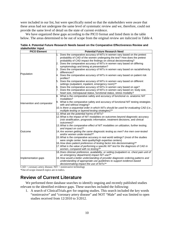were included in our list, but were specifically noted so that the stakeholders were aware that these areas had not undergone the same level of systematic review and we, therefore, could not provide the same level of detail on the state of current evidence.

We have organized these gaps according to the PICO format and listed them in the table below. The areas determined to be out of scope from the original review are italicized in Table 4.

| Table 4. Potential Future Research Needs based on the Comparative Effectiveness Review and |  |
|--------------------------------------------------------------------------------------------|--|
| stakeholder input                                                                          |  |

| <b>PICO Element</b>         | <b>Potential Future Research Need</b>                                                                                                                                                                                          |
|-----------------------------|--------------------------------------------------------------------------------------------------------------------------------------------------------------------------------------------------------------------------------|
|                             | 1. Does the comparative accuracy of NITs in women vary based on the pretest<br>probability of CAD of the women undergoing the test? How does the pretest<br>probability of CAD impact the findings on clinical decisionmaking? |
|                             | 2. Does the comparative accuracy of NITs in women vary based on differing<br>symptomology and timing at presentation?                                                                                                          |
|                             | 3. Does the comparative accuracy of NITs in women vary based on racial/ethnicity<br>differences?                                                                                                                               |
| Population                  | 4. Does the comparative accuracy of NITs in women vary based on patient risk<br>profiles?                                                                                                                                      |
|                             | 5. Does the comparative accuracy of NITs in women vary based on different<br>settings (outpatient, inpatient, emergency room)?*                                                                                                |
|                             | 6. Does the comparative accuracy of NITs in women vary based on age?<br>7. Does the comparative accuracy of NITs in women vary based on: body size,<br>heart size, menopausal status, functional status, stress modality?      |
|                             | 8. What is the comparative safety and accuracy of functional vs. anatomic NIT<br>modalities?                                                                                                                                   |
| Intervention and comparator | 9. What is the comparative safety and accuracy of functional NIT testing strategies<br>with and without imaging?                                                                                                               |
|                             | 10. Is there a sequential order in which NITs should be used for evaluating CAD (i.e.,<br>multiple testing or layered-testing strategies)?*                                                                                    |
|                             | 11. What are the potential harms of NITs?<br>12. What is the impact of NIT modalities on outcomes beyond diagnostic accuracy<br>(risk stratification, prognostic information, treatment decisions, and clinical<br>outcomes)?  |
|                             | 13. What is the comparative effect of NIT modalities on utilization, further testing,<br>and impact on cost?*                                                                                                                  |
| Outcome                     | 14. Are women getting the same diagnostic testing as men? Are men over-tested<br>and/or women under-tested?*                                                                                                                   |
|                             | 15. What is the comparative accuracy in real world settings? (most of the studies<br>were single center, best-quality/high expertise centers)                                                                                  |
|                             | 16. How does patient preference of testing factor into decisionmaking?*<br>17. What is the value of performing a specific NIT test for the diagnosis of CAD in<br>women, compared with no testing?*                            |
|                             | 18. Does clinician preference, availability, or setting (outpatient vs. chest pain unit of<br>an emergency department) impact NIT use?*                                                                                        |
| Implementation gaps         | 19. How would a better understanding of provider diagnostic ordering patterns and<br>understanding of appropriate use guidelines to support evidence-based<br>decisionmaking impact the use of NITs?*                          |

 $CAD =$  coronary artery disease;  $NIT =$  noninvasive technology

\*Out-of-scope research topics are in italics.

## **Review of Current Literature**

We performed three database searches to identify ongoing and recently published studies relevant to the identified evidence gaps. These searches included the following:

1. A search of ClinicalTrials.gov for ongoing studies. This search included the key words "noninvasive" and "coronary artery disease" and NOT "Male" and was limited to open studies received from 12/2010 to 3/2012.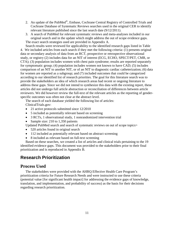- 2. An update of the PubMed<sup>®</sup>, Embase, Cochrane Central Registry of Controlled Trials and Cochrane Database of Systematic Reviews searches used in the original CER to identify relevant literature published since the last search date (9/12/2011).
- 3. A search of PubMed for relevant systematic reviews and meta-analyses included in our original search and in the update which might address the out of scope evidence gaps. The exact search strategies used are provided in Appendix A.

Search results were reviewed for applicability to the identified research gaps listed in Table 4. We included articles from each search if they met the following criteria: (1) presents original data or secondary analysis of data from an RCT, prospective or retrospective observational study, or registry (2) includes data for an NIT of interest (ECG, ECHO, SPECT/PET, CMR, or CTA); (3) population includes women with chest pain syndrome; results are reported separately for symptomatic group; (4) population includes women not known to have CAD; (5) includes comparison of an NIT to another NIT, or of an NIT to diagnostic cardiac catheterization; (6) data for women are reported as a subgroup; and (7) included outcomes that could be categorized according to our identified list of research priorities. The goal for this literature search was to provide the stakeholders an idea of which research areas had recent or ongoing literature to address these gaps. Since we did not intend to synthesize this data with the existing report, these articles did not undergo full article abstraction or reconciliation of differences between article reviewers. We did however review the full-text of the relevant articles as the reporting of genderspecific outcomes was often not clear at the abstract level.

The search of each database yielded the following list of articles: ClinicalTrials.gov:

- 21 active protocols submitted since 12/2010
- 5 included as potentially relevant based on screening
- 3 RCTs, 1 observational study, 1 nonrandomized intervention trial
- Sample size: 210 to 1,350 patients

Updated PubMed search and search of systematic reviews on out of scope topics>

- 520 articles found in original search
- 112 included as potentially relevant based on abstract screening
- 8 included as relevant based on full-text screening

Based on these searches, we created a list of articles and clinical trials pertaining to the 19 identified evidence gaps. This document was provided to the stakeholders prior to their final prioritization and is reproduced in Appendix B.

# **Research Prioritization**

## **Process Used**

The stakeholders were provided with the AHRQ Effective Health Care Program's prioritization criteria for Future Research Needs and were instructed to use these criteria (potential value [for significant health impact] for addressing the evidence gaps of knowledge, translation, and implementation, and probability of success) as the basis for their decisions regarding research prioritization.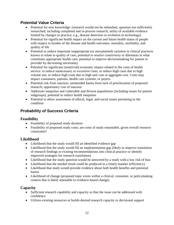## **Potential Value Criteria**

- Potential for new knowledge: (research would not be redundant; question not sufficiently researched, including completed and in-process research; utility of available evidence limited by changes in practice, e.g., disease detection or evolution in technology)
- Potential for significant health impact on the current and future health status of people with respect to burden of the disease and health outcomes: mortality, morbidity, and quality of life
- Potential to reduce important inappropriate (or unexplained) variation in clinical practices known to relate to quality of care; potential to resolve controversy or dilemmas in what constitutes appropriate health care; potential to improve decisionmaking for patient or provider by decreasing uncertainty
- Potential for significant (nontrivial) economic impact related to the costs of health service: to reduce unnecessary or excessive costs; to reduce high costs due to high volume use; to reduce high costs due to high unit cost or aggregate cost. Costs may impact consumers, patients, health care systems, or payers.
- Potential risk from inaction: unintended harms from lack of prioritization of proposed research; opportunity cost of inaction
- Addresses inequities and vulnerable and diverse populations (including issues for patient subgroups); potential to reduce health inequities
- Potential to allow assessment of ethical, legal, and social issues pertaining to the condition

## **Probability of Success Criteria**

### **Feasibility**

- Feasibility of proposed study duration
- Feasibility of proposed study costs; are costs of study reasonable, given overall resource constraints?

## **Likelihood**

- Likelihood that the study would fill an identified evidence gap
- Likelihood that the study would fill an implementation gap (likely to improve translation of research findings or existing recommendations into clinical practice or identify improved strategies for research translation)
- Likelihood that the study question would be answered by a study with a low risk of bias
- Likelihood that the needed result could be produced in a timely manner (efficiency)
- Likelihood that study would provide evidence about both health benefits and potential harms
- Likelihood of change (proposed topic exists within a clinical, consumer, or policymaking context that is likely amenable to evidence-based change)

### **Capacity**

- Sufficient research capability and capacity so that the issue can be addressed with confidence
- Utilizes existing resources or builds desired research capacity or decisional support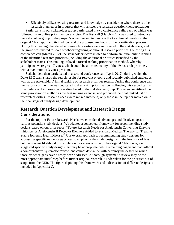• Effectively utilizes existing research and knowledge by considering where there is other research planned or in progress that will answer the research question (nonduplicative)

Participants in our stakeholder group participated in two conference calls, each of which was followed by an online prioritization exercise. The first call (March 2012) was used to introduce the stakeholder group to the project's objective and to describe the key clinical questions, the original CER report and its findings, and the proposed methods for the prioritization process. During this meeting, the identified research priorities were introduced to the stakeholders, and the group was invited to share feedback regarding additional research priorities. Following this conference call (March 2012), the stakeholders were invited to perform an initial online ranking of the identified research priorities (including the additional priorities identified by the stakeholder team). This ranking utilized a forced-ranking prioritization method, whereby participants were given 7 votes, which could be allocated to any of the 19 research priorities, with a maximum of 3 votes per item.

Stakeholders then participated in a second conference call (April 2012), during which the Duke EPC team shared the search results for relevant ongoing and recently published studies, as well as the stakeholders' initial ranking of research priorities results. During this conference call, the majority of the time was dedicated to discussing prioritization. Following this second call, a final online ranking exercise was distributed to the stakeholder group. This exercise utilized the same prioritization method as the first ranking exercise, and produced the final ranked list of research priorities. Research needs were ranked into tiers; only those in the top tier moved on to the final stage of study design development.

## **Research Question Development and Research Design Considerations**

For the top-tier Future Research Needs, we considered advantages and disadvantages of various potential study designs. We adapted a conceptual framework for recommending study designs based on our prior report "Future Research Needs for Angiotensin Converting Enzyme Inhibitors or Angiotensin II Receptor Blockers Added to Standard Medical Therapy for Treating Stable Ischemic Heart Disease."<sup>5</sup> Our overall approach to recommending study designs for addressing specific evidence gaps was to emphasize the study design with the least risk of bias, but the greatest likelihood of completion. For areas outside of the original CER scope, we suggested specific study designs that may be appropriate, while remaining cognizant that without a comprehensive systematic review, one cannot determine with certainty the degree to which those evidence gaps have already been addressed. A thorough systematic review may be the most appropriate initial step before further original research is undertaken for the priorities out of scope from the CER. The figure depicting this framework and a discussion of different designs is included in Appendix C.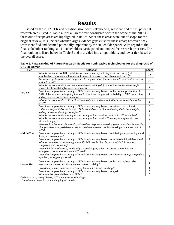# **Results**

Based on the 2012 CER and our discussion with stakeholders, we identified the 19 potential research areas listed in Table 4. Not all areas were considered within the scope of the 2012 CER; these out-of-scope areas are highlighted in italics. Since these areas were out of scope for the original review, it is unclear whether large evidence gaps exist for these areas; however, they were identified and deemed potentially important by the stakeholder panel. With regard to the final stakeholder ranking, all 11 stakeholders participated and ranked the research priorities. The final ranking is listed below in Table 5 and is divided into a top, middle, and lower tier, based on the overall score.

**Table 5. Final ranking of Future Research Needs for noninvasive technologies for the diagnosis of CAD in women**

| Tier               | Question                                                                                                                                                                                                                    | <b>Score</b>   |
|--------------------|-----------------------------------------------------------------------------------------------------------------------------------------------------------------------------------------------------------------------------|----------------|
|                    | What is the impact of NIT modalities on outcomes beyond diagnostic accuracy (risk<br>stratification, prognostic information, treatment decisions, and clinical outcomes)?                                                   | 14             |
|                    | Are women getting the same diagnostic testing as men? Are men over-tested and/or women<br>under-tested?*                                                                                                                    | 10             |
|                    | What is the comparative accuracy in real world settings? (most of the studies were single<br>center, best-quality/high expertise centers)                                                                                   | 8              |
| <b>Top Tier</b>    | Does the comparative accuracy of NITs in women vary based on the pretest probability of<br>CAD of the women undergoing the test? How does the pretest probability of CAD impact the<br>findings on clinical decisionmaking? | $\overline{7}$ |
|                    | What is the comparative effect of NIT modalities on utilization, further testing, and impact on<br>cost?                                                                                                                    | 6              |
|                    | Does the comparative accuracy of NITs in women vary based on patient risk profiles?                                                                                                                                         | 5              |
|                    | Is there a sequential order in which NITs should be used for evaluating CAD, i.e. multiple<br>testing or layered-testing strategies?*                                                                                       | 5              |
|                    | What is the comparative safety and accuracy of functional vs. anatomic NIT modalities?                                                                                                                                      | $\overline{4}$ |
|                    | What is the comparative safety and accuracy of functional NIT testing strategies with and<br>without imaging?                                                                                                               | 4              |
|                    | How would a better understanding of provider diagnostic ordering patterns and understanding<br>of appropriate use guidelines to support evidence-based decisionmaking impact the use of<br>$NITs?$ *                        | 3              |
| <b>Middle Tier</b> | Does the comparative accuracy of NITs in women vary based on differing symptomology and<br>timing at presentation?                                                                                                          | 2              |
|                    | Does the comparative accuracy of NITs in women vary based on racial/ethnicity differences?                                                                                                                                  | $\overline{2}$ |
|                    | What is the value of performing a specific NIT test for the diagnosis of CAD in women,<br>compared with no testing?*                                                                                                        | 2              |
|                    | Does clinician preference, availability, or setting (outpatient vs. chest pain unit of an<br>emergency department) impact NIT use?*                                                                                         | 2              |
|                    | Does the comparative accuracy of NITs in women vary based on different settings (outpatient,<br>inpatient, emergency room)?*                                                                                                | 1              |
| Lower Tier         | Does the comparative accuracy of NITs in women vary based on: body size, heart size,<br>menopausal status, functional status, stress modality?                                                                              | 1              |
|                    | How does patient preference of testing factor into decisionmaking?*                                                                                                                                                         | 1              |
|                    | Does the comparative accuracy of NITs in women vary based on age?                                                                                                                                                           | 0              |
|                    | What are the potential harms of NITs?                                                                                                                                                                                       | $\Omega$       |

 $\overline{CAD}$  = coronary artery disease; NIT = noninvasive technology \*Out-of-scope research topics are highlighted in italics.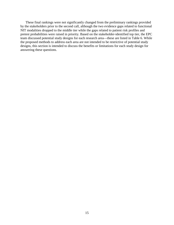These final rankings were not significantly changed from the preliminary rankings provided by the stakeholders prior to the second call, although the two evidence gaps related to functional NIT modalities dropped to the middle tier while the gaps related to patient risk profiles and pretest probabilities were raised in priority. Based on the stakeholder-identified top tier, the EPC team discussed potential study designs for each research area—these are listed in Table 6. While the proposed methods to address each area are not intended to be restrictive of potential study designs, this section is intended to discuss the benefits or limitations for each study design for answering these questions.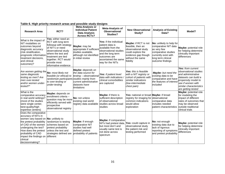| <b>Research Area</b>                                                                                                                                                                                                                                                | RCT?                                                                                                                                                                                                                      | Meta-Analysis or<br><b>Individual Patient</b><br><b>Data Analysis</b><br><b>Across RCTs?</b>                                  | <b>Meta-Analysis of</b><br><b>Observational</b><br>Studies?                                                                                                                 | <b>New Observational</b><br>Study?                                                                                                            | <b>Analysis of Existing</b><br>Data?                                                                                                                     | Model?                                                                                                                                                                                |
|---------------------------------------------------------------------------------------------------------------------------------------------------------------------------------------------------------------------------------------------------------------------|---------------------------------------------------------------------------------------------------------------------------------------------------------------------------------------------------------------------------|-------------------------------------------------------------------------------------------------------------------------------|-----------------------------------------------------------------------------------------------------------------------------------------------------------------------------|-----------------------------------------------------------------------------------------------------------------------------------------------|----------------------------------------------------------------------------------------------------------------------------------------------------------|---------------------------------------------------------------------------------------------------------------------------------------------------------------------------------------|
| What is the impact of<br>NIT modalities on<br>outcomes beyond<br>diagnostic accuracy<br>(risk stratification,<br>prognostic information<br>treatment decisions,<br>land clinical<br>outcomes)?                                                                      | Yes: either need an<br>RCT with long term<br>followup with strategy<br>of NIT's or need<br>observational study<br>where the test and<br>treatment are tied<br>together. RCT would<br>provide most<br>informative evidence | Maybe: may be<br>appropriate if sufficient<br>studies available,<br>although not identified<br>in initial review              | Yes: if the individual<br>patient data is<br>available from the<br>observational studies<br>and the long term<br>loutcomes are<br>lascertained the same<br>way for the NITs | Maybe: if RCT is not<br>feasible, then an<br>observational study<br>could explore the<br>evidence gap though<br>without the same<br>fidelity  | No: unlikely to help for<br>comparative NIT data<br>as very few<br>comparative studies<br>currently exist with<br>long term clinical<br>outcome findings | Maybe: potential role<br>for helping determine<br>clinically important<br>differences                                                                                                 |
| Are women getting the<br>same diagnostic<br>testing as men? Are<br>men over-tested<br>and/or women under-<br>tested?*                                                                                                                                               | No: most likely not<br>feasible (or ethical) to<br>randomize participants studies mainly from<br>to over-testing or<br>under-testing                                                                                      | Maybe: depends on<br>the data source for<br>testing - observational<br>current administrative<br>datasets have<br>limitations | Yes: if patient level<br>data with indications<br>clinical comorbidities<br>are captured                                                                                    | <b>Yes:</b> this is feasible<br>with a NIT registry or<br>cohort of patients with<br>similar indications<br>(low-intermediate)<br>chest pain) | Maybe: but need the<br>existing data to be<br>comparative and have<br>the features of interest<br>included                                               | Yes: from current<br>observational studies<br>and administrative<br>datasets can build a<br>propensity model to<br>see if women with<br>similar characteristics<br>are getting tested |
| What is the<br>comparative accuracy<br>in real world settings?<br>(most of the studies<br>were single center,<br>best-quality/high<br>expertise centers)                                                                                                            | Maybe: depends on<br>enrollment criteria -<br>question may be more<br>efficiently served with<br>prospective<br>observational registry                                                                                    | No: not unless<br>existing real world<br>registry data available                                                              | Maybe: if there is<br>sufficient description<br>of observational<br>studies across broad<br>studies                                                                         | Yes: national or broad Maybe: if broad<br>registry for imaging for observational<br>common indications<br>would allow<br>exploration          | comparative data<br>includes needed<br>patient characteristics                                                                                           | Maybe: potential role<br>for modeling the<br>impact of different<br>rates of outcomes that<br>may be observed<br>outside traditional<br>clinical trials                               |
| Does the comparative<br>accuracy of NITs in<br>women vary based on No: unlikely to<br>the pretest probability<br>of CAD of the women<br>undergoing the test?<br>How does the pretest<br>probability of CAD<br>impact the findings on<br>clinical<br>decisionmaking? | randomize to testing<br>schemes based on<br>pretest probability<br>unless the test and<br>strategies defined are<br>different                                                                                             | Maybe: if enough<br>comparative NIT<br>studies had well<br>defined pretest<br>probability of patients                         | Maybe: if comparative<br>NITs had pretest data,<br>but most don't and<br>usually same test is<br>not done across<br>spectrum                                                | Yes: could capture in<br>observational study<br>the patient risk and<br>testing performed                                                     | No: not enough<br>existing data due to<br>lack of rigorous<br>reporting of symptoms<br>and pretest probability                                           | Maybe: potential role<br>for helping determine<br>clinically important<br>differences                                                                                                 |

#### **Table 6. High priority research areas and possible study designs**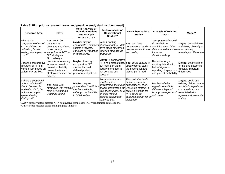| <b>Research Area</b>                                                                                                                                  | RCT?                                                                                                                                             | <b>Meta-Analysis or</b><br><b>Individual Patient</b><br>Data Analysis<br><b>Across RCTs?</b>                     | Meta-Analysis of<br><b>Observational</b><br>Studies?                                                                                                                                                                                                      | <b>New Observational</b><br>Study?                                                                                             | <b>Analysis of Existing</b><br>Data?                                                                           | Model?                                                                                                                                                     |
|-------------------------------------------------------------------------------------------------------------------------------------------------------|--------------------------------------------------------------------------------------------------------------------------------------------------|------------------------------------------------------------------------------------------------------------------|-----------------------------------------------------------------------------------------------------------------------------------------------------------------------------------------------------------------------------------------------------------|--------------------------------------------------------------------------------------------------------------------------------|----------------------------------------------------------------------------------------------------------------|------------------------------------------------------------------------------------------------------------------------------------------------------------|
| What is the<br>comparative effect of<br>NIT modalities on<br>utilization, further<br>testing, and impact on endpoints in RCT for<br>$cost?$ *         | Yes: could be<br>captured as<br>downstream primary<br>or secondary<br>NIT strategies.                                                            | Maybe: may be<br>studies available.<br>although not identified<br>in initial review                              | <b>Yes:</b> if existing<br>appropriate if sufficient observational NIT data<br>have these outcomes<br>reported then can be<br>performed                                                                                                                   | Yes: can have<br>observational study of administrative claims<br>Idownstream utilization Idata – would not know<br>and testing | Yes: potentially could<br>do analysis in<br><i>impact on</i><br>decisionmaking                                 | <b>Maybe:</b> potential role<br>in defining clinically or<br>economically<br>meaningful differences                                                        |
| Does the comparative<br>accuracy of NITs in<br>women vary based on<br>patient risk profiles?                                                          | No: unlikely to<br>randomize to testing<br>schemes based on<br>pretest probability<br>unless the test and<br>strategies defined are<br>different | Maybe: if enough<br>comparative NIT<br>studies had well<br>defined pretest<br>probability of patients            | <b>Maybe:</b> if comparative<br>NITs had pretest data,<br>but most don't and<br>usually same test is<br>not done across<br>spectrum                                                                                                                       | Yes: could capture in<br>observational study<br>the patient risk and<br>testing performed                                      | No: not enough<br>existing data due to<br>lack of rigorous<br>reporting of symptoms<br>and pretest probability | Maybe: potential role<br>for helping determine<br>clinically important<br>differences                                                                      |
| Is there a sequential<br>lorder in which NITs<br>should be used for<br>evaluating CAD, i.e.<br>multiple testing or<br>layered-testing<br>strategies?* | Yes: RCT with<br>strategies with multiple<br>tests or algorithms<br>would be useful                                                              | Maybe: may be<br>appropriate if sufficient<br>studies available,<br>although not identified<br>in initial review | <b>No:</b> unfortunately $-$<br>variable use of<br>downstream testing so observational study<br>hard to understand the where the strategy a<br>role of sequential data clinician is using for<br>or tests without<br>specific patient and<br>outcome data | Yes: possibly could<br>design a strategy<br>NITs could be<br>captured at start for an<br>indication                            | <b>No:</b> limited with<br>regards to multiple<br>difference layered<br>testing strategies and<br>outcomes     | <b>Maybe:</b> could use<br>existing claims data to<br>model which patients/<br>characteristics are<br>associated with<br>layered and sequential<br>testing |

**Table 6. High priority research areas and possible study designs (continued)**

CAD = coronary artery disease; NIT= noninvasive technology; RCT = randomized controlled trial

\*Out-of-scope research topics are highlighted in italics.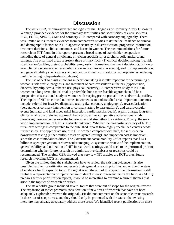## **Discussion**

The 2012 CER, "Noninvasive Technologies for the Diagnosis of Coronary Artery Disease in Women," provided evidence for the summary sensitivities and specificities of exercise/stress ECG, ECHO, SPECT, CME and coronary CTA compared with coronary angiography. There was limited or insufficient evidence from comparative studies to define the influence of clinical and demographic factors on NIT diagnostic accuracy, risk stratification, prognostic information, treatment decisions, clinical outcomes, and harms in women. The recommendations for future research on NIT found in this report represent a broad range of stakeholder perspectives including those of general physicians, physician specialists, researchers, policymakers, and patients. The prioritized areas represent three primary foci: (1) clinical decisionmaking (i.e. risk stratification/profiles, pretest probability, prognostic information, treatment decisions,); (2) longterm clinical outcomes (i.e. revascularization and cardiovascular events); and (3) implementation and generalizability (i.e. accuracy and utilization in real world settings, appropriate test ordering, multiple testing or layer-testing strategies).

The use of NIT to assist clinicians in decisionmaking is vitally important for determining a woman's risk profile, prognosis, and treatment of cardiovascular risk factors (hypertension, diabetes, hyperlipidemia, tobacco use, physical inactivity). A comparative study of NITs in women in a long-term clinical trial is preferable, but a more feasible approach could be a prospective observational study of women with varying pretest probabilities and/or risk profiles. The impact of NIT on clinical outcomes in women is an understudied area. Important outcomes include: referral for invasive diagnostic testing (i.e. coronary angiography), revascularization (percutaneous coronary intervention or coronary artery bypass grafting), and cardiovascular events (nonfatal and fatal myocardial infarction, cardiovascular death). Again, a large, long-term clinical trial is the preferred approach, but a prospective, comparative observational study measuring these outcomes over the long-term would strengthen the evidence. Finally, the realworld implementation of NIT is relatively unknown. Whether the diagnostic accuracy of NIT in usual care settings is comparable to the published reports from highly specialized centers needs further study. The appropriate use of NIT in women compared with men, the influence on downstream testing (either multiple tests or layered-testing), and impact on cost is important since the cost of modalities differ. The Government Accountability Office reports that \$14.1 billion is spent per year on cardiovascular imaging. A systematic review of the implementation, generalizability, and utilization of NIT in real world settings would need to be performed prior to determining whether future research on administrative databases or registries could be recommended. The original CER showed that very few NIT articles are RCTs; thus, future research involving RCTs is recommended.

Given the limited time the stakeholders have to review the existing evidence, it is also possible that their prioritization represents their general research priorities, rather than the state of evidence for this specific topic. Though it is not the aim of this report, the information is still useful as a representation of topics that are of direct interest to researchers in the field. As AHRQ prepares further prioritization reports, it would be interesting to examine recurrent themes that arise in the top tier of research priorities.

The stakeholder group included several topics that were out of scope for the original review. The expansion of topics promotes consideration of new areas of research that have not been adequately explored; however, the original CER did not comment on the state of current research in these out-of-scope areas, and they should only be promoted with the caveat that existing literature may already adequately address these areas. We identified recent publications on these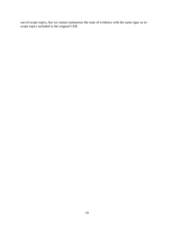out-of-scope topics, but we cannot summarize the state of evidence with the same rigor as inscope topics included in the original CER.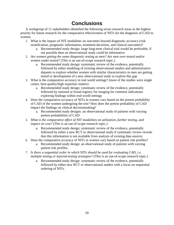# **Conclusions**

A workgroup of 11 stakeholders identified the following seven research areas as the highest priority for future research for the comparative effectiveness of NITs for the diagnosis of CAD in women.

- 1. What is the impact of NIT modalities on outcomes beyond diagnostic accuracy (risk stratification, prognostic information, treatment decisions, and clinical outcomes)?
	- a. Recommended study design: large long-term clinical trial would be preferable, if not possible then an observational study could be informative
- 2. *Are women getting the same diagnostic testing as men? Are men over-tested and/or women under-tested?* (This is an out-of-scope research topic.)
	- a. Recommended study design: systematic review of the evidence, potentially followed by either modeling of existing observational studies and administrative datasets to explore whether women with similar characteristics to men are getting tested or development of a new observational study to explore this gap
- 3. What is the comparative accuracy in real world settings? (most of the studies were single center, best-quality/high expertise centers)
	- a. Recommended study design: systematic review of the evidence, potentially followed by national or broad registry for imaging for common indications exploring findings within real-world settings
- 4. Does the comparative accuracy of NITs in women vary based on the pretest probability of CAD of the women undergoing the test? How does the pretest probability of CAD impact the findings on clinical decisionmaking?
	- a. Recommended study designs: an observational study of patients with varying pretest probabilities of CAD
- 5. *What is the comparative effect of NIT modalities on utilization, further testing, and impact on cost?* (This is an out-of-scope research topic.)
	- a. Recommended study design: systematic review of the evidence, potentially followed by either a new RCT or observational study if systematic review reveals that this information is not available from analysis of existing data sources
- 6. Does the comparative accuracy of NITs in women vary based on patient risk profiles?
	- a. Recommended study design: an observational study of patients with varying patient risk profiles.
- 7. *Is there a sequential order in which NITs should be used for evaluating CAD, i.e. multiple testing or layered-testing strategies?* (This is an out-of-scope research topic.)
	- a. Recommended study design: systematic review of the evidence, potentially followed by either new RCT or observational studies with a focus on sequential ordering of NITs.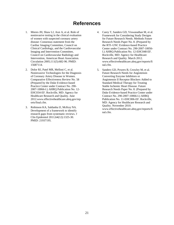# **References**

- 1. Mieres JH, Shaw LJ, Arai A, et al. Role of noninvasive testing in the clinical evaluation of women with suspected coronary artery disease: Consensus statement from the Cardiac Imaging Committee, Council on Clinical Cardiology, and the Cardiovascular Imaging and Intervention Committee, Council on Cardiovascular Radiology and Intervention, American Heart Association. Circulation 2005;111(5):682-96. PMID: 15687114.
- 2. Dolor RJ, Patel MR, Melloni C, et al. Noninvasive Technologies for the Diagnosis of Coronary Artery Disease in Women. Comparative Effectiveness Review No. 58 (Prepared by the Duke Evidence-based Practice Center under Contract No. 290- 2007-10066-I.) AHRQ Publication No. 12- EHC034-EF. Rockville, MD: Agency for Healthcare Research and Quality. June 2012.www.effectivehealthcare.ahrq.gov/rep orts/final.cfm.
- 3. Robinson KA, Saldanha IJ, McKoy NA. Development of a framework to identify research gaps from systematic reviews. J Clin Epidemiol 2011;64(12):1325-30. PMID: 21937195.
- 4. Carey T, Sanders GD, Viswanathan M, et al. Framework for Considering Study Designs for Future Research Needs. Methods Future Research Needs Paper No. 8. (Prepared by the RTI–UNC Evidence-based Practice Center under Contract No. 290-2007-10056- I.) AHRQ Publication No. 12-EHC048-EF. Rockville, MD: Agency for Healthcare Research and Quality. March 2012. www.effectivehealthcare.ahrq.gov/reports/fi nal.cfm.
- 5. Sanders GD, Powers B, Crowley M, et al. Future Research Needs for Angiotensin Converting Enzyme Inhibitors or Angiotensin II Receptor Blockers Added to Standard Medical Therapy for Treating Stable Ischemic Heart Disease. Future Research Needs Paper No. 8. (Prepared by Duke Evidence-based Practice Center under Contract No. 290-2007-10066-I.) AHRQ Publication No. 11-EHC006-EF. Rockville, MD: Agency for Healthcare Research and Quality. November 2010. www.effectivehealthcare.ahrq.gov/reports/fi nal.cfm.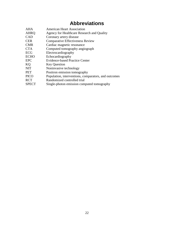# **Abbreviations**

| AHA          | <b>American Heart Association</b>                    |
|--------------|------------------------------------------------------|
| <b>AHRQ</b>  | Agency for Healthcare Research and Quality           |
| <b>CAD</b>   | Coronary artery disease                              |
| <b>CER</b>   | <b>Comparative Effectiveness Review</b>              |
| <b>CMR</b>   | Cardiac magnetic resonance                           |
| <b>CTA</b>   | Computed tomography angiograph                       |
| <b>ECG</b>   | Electrocardiography                                  |
| <b>ECHO</b>  | Echocardiography                                     |
| <b>EPC</b>   | Evidence-based Practice Center                       |
| KQ           | <b>Key Question</b>                                  |
| <b>NIT</b>   | Noninvasive technology                               |
| <b>PET</b>   | Positron emission tomography                         |
| <b>PICO</b>  | Population, interventions, comparators, and outcomes |
| <b>RCT</b>   | Randomized controlled trial                          |
| <b>SPECT</b> | Single-photon emission computed tomography           |
|              |                                                      |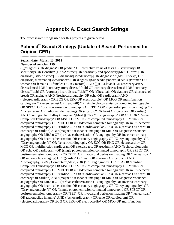# **Appendix A. Exact Search Strings**

The exact search strings used for this project are given below.

# **Pubmed® Search Strategy (Update of Search Performed for Original CER)**

#### --------------------------------------------------------------------------------------------------------------------- **Search date: March 13, 2012**

#### **Number of articles: 159**

((((/diagnosis OR diagnos\* OR predict\* OR predictive value of tests OR sensitivity OR specificity) OR (sensitiv\*[Title/Abstract] OR sensitivity and specificity[MeSH Terms] OR diagnos\*[Title/Abstract] OR diagnosis[MeSH:noexp] OR diagnostic \*[MeSH:noexp] OR diagnosis, differential[MeSH:noexp] OR diagnosis[Subheading:noexp])) AND ((women OR woman OR female OR females OR sex factors) AND ((((CAD[tiab]) OR (coronary artery disease[mesh] OR "coronary artery disease"[tiab] OR coronary disease[mesh] OR "coronary disease"[tiab] OR "coronary heart disease"[tiab])) OR (Chest pain OR dyspnea OR shortness of breath OR angina)) AND (((echocardiography OR echo OR cardiogram) AND ((electrocardiography OR ECG OR EKG OR electrocardio\* OR MCG OR multifunction cardiogram OR exercise test OR treadmill) OR (single photon emission computed tomography OR SPECT OR positron emission tomography OR "PET" OR myocardial perfusion imaging OR "nuclear scan" OR radionuclide imaging) OR (((cardio\* OR heart OR coronary OR cardiac) AND "Tomography, X-Ray Computed"[Mesh]) OR ("CT angiography" OR CTA OR "Cardiac Computed Tomography" OR MSCT OR Multislice computed tomography OR Multi-slice computed tomography OR MDCT OR multidetector computed tomography OR multi-detector computed tomography OR "cardiac CT" OR "Cardiovascular CT")) OR ((cardiac OR heart OR coronary OR cardio\*) AND (magnetic resonance imaging OR MRI OR Magnetic resonance angiography OR MRA)) OR (cardiac catheterization OR angiography OR invasive coronary angiography OR heart catheterization OR coronary angiography OR "X-ray angiography" OR "Xray angiography"))) OR ((electrocardiography OR ECG OR EKG OR electrocardio\* OR MCG OR multifunction cardiogram OR exercise test OR treadmill) AND ((echocardiography OR echo OR cardiogram) OR (single photon emission computed tomography OR SPECT OR positron emission tomography OR "PET" OR myocardial perfusion imaging OR "nuclear scan" OR radionuclide imaging) OR (((cardio\* OR heart OR coronary OR cardiac) AND "Tomography, X-Ray Computed"[Mesh]) OR ("CT angiography" OR CTA OR "Cardiac Computed Tomography" OR MSCT OR Multislice computed tomography OR Multi-slice computed tomography OR MDCT OR multidetector computed tomography OR multi-detector computed tomography OR "cardiac CT" OR "Cardiovascular CT")) OR ((cardiac OR heart OR coronary OR cardio\*) AND (magnetic resonance imaging OR MRI OR Magnetic resonance angiography OR MRA)) OR (cardiac catheterization OR angiography OR invasive coronary angiography OR heart catheterization OR coronary angiography OR "X-ray angiography" OR "Xray angiography"))) OR ((single photon emission computed tomography OR SPECT OR positron emission tomography OR "PET" OR myocardial perfusion imaging OR "nuclear scan" OR radionuclide imaging) AND ((echocardiography OR echo OR cardiogram) OR (electrocardiography OR ECG OR EKG OR electrocardio\* OR MCG OR multifunction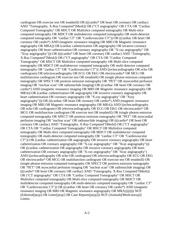cardiogram OR exercise test OR treadmill) OR (((cardio\* OR heart OR coronary OR cardiac) AND "Tomography, X-Ray Computed"[Mesh]) OR ("CT angiography" OR CTA OR "Cardiac Computed Tomography" OR MSCT OR Multislice computed tomography OR Multi-slice computed tomography OR MDCT OR multidetector computed tomography OR multi-detector computed tomography OR "cardiac CT" OR "Cardiovascular CT")) OR ((cardiac OR heart OR coronary OR cardio\*) AND (magnetic resonance imaging OR MRI OR Magnetic resonance angiography OR MRA)) OR (cardiac catheterization OR angiography OR invasive coronary angiography OR heart catheterization OR coronary angiography OR "X-ray angiography" OR "Xray angiography"))) OR ((((cardio\* OR heart OR coronary OR cardiac) AND "Tomography, X-Ray Computed"[Mesh]) OR ("CT angiography" OR CTA OR "Cardiac Computed Tomography" OR MSCT OR Multislice computed tomography OR Multi-slice computed tomography OR MDCT OR multidetector computed tomography OR multi-detector computed tomography OR "cardiac CT" OR "Cardiovascular CT")) AND ((echocardiography OR echo OR cardiogram) OR (electrocardiography OR ECG OR EKG OR electrocardio\* OR MCG OR multifunction cardiogram OR exercise test OR treadmill) OR (single photon emission computed tomography OR SPECT OR positron emission tomography OR "PET" OR myocardial perfusion imaging OR "nuclear scan" OR radionuclide imaging) OR ((cardiac OR heart OR coronary OR cardio\*) AND (magnetic resonance imaging OR MRI OR Magnetic resonance angiography OR MRA)) OR (cardiac catheterization OR angiography OR invasive coronary angiography OR heart catheterization OR coronary angiography OR "X-ray angiography" OR "Xray angiography"))) OR (((cardiac OR heart OR coronary OR cardio\*) AND (magnetic resonance imaging OR MRI OR Magnetic resonance angiography OR MRA)) AND ((echocardiography OR echo OR cardiogram) OR (electrocardiography OR ECG OR EKG OR electrocardio\* OR MCG OR multifunction cardiogram OR exercise test OR treadmill) OR (single photon emission computed tomography OR SPECT OR positron emission tomography OR "PET" OR myocardial perfusion imaging OR "nuclear scan" OR radionuclide imaging) OR (((cardio\* OR heart OR coronary OR cardiac) AND "Tomography, X-Ray Computed"[Mesh]) OR ("CT angiography" OR CTA OR "Cardiac Computed Tomography" OR MSCT OR Multislice computed tomography OR Multi-slice computed tomography OR MDCT OR multidetector computed tomography OR multi-detector computed tomography OR "cardiac CT" OR "Cardiovascular CT")) OR (cardiac catheterization OR angiography OR invasive coronary angiography OR heart catheterization OR coronary angiography OR "X-ray angiography" OR "Xray angiography"))) OR ((cardiac catheterization OR angiography OR invasive coronary angiography OR heart catheterization OR coronary angiography OR "X-ray angiography" OR "Xray angiography") AND ((echocardiography OR echo OR cardiogram) OR (electrocardiography OR ECG OR EKG OR electrocardio\* OR MCG OR multifunction cardiogram OR exercise test OR treadmill) OR (single photon emission computed tomography OR SPECT OR positron emission tomography OR "PET" OR myocardial perfusion imaging OR "nuclear scan" OR radionuclide imaging) OR (((cardio\* OR heart OR coronary OR cardiac) AND "Tomography, X-Ray Computed"[Mesh]) OR ("CT angiography" OR CTA OR "Cardiac Computed Tomography" OR MSCT OR Multislice computed tomography OR Multi-slice computed tomography OR MDCT OR multidetector computed tomography OR multi-detector computed tomography OR "cardiac CT" OR "Cardiovascular CT")) OR ((cardiac OR heart OR coronary OR cardio\*) AND (magnetic resonance imaging OR MRI OR Magnetic resonance angiography OR MRA)))))))) NOT (Editorial[ptyp] OR Letter[ptyp] OR Case Reports[ptyp])) NOT (Animals[Mesh:noexp]) Limits: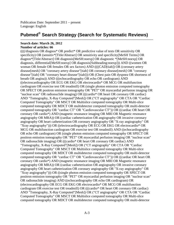Publication Date: September 2011 – present Language: English

# **Pubmed® Search Strategy (Search for Systematic Reviews)**

#### --------------------------------------------------------------------------------------------------------------------- **Search date: March 26, 2012 Number of articles: 66**

((((/diagnosis OR diagnos\* OR predict\* OR predictive value of tests OR sensitivity OR specificity) OR (sensitiv\*[Title/Abstract] OR sensitivity and specificity[MeSH Terms] OR diagnos\*[Title/Abstract] OR diagnosis[MeSH:noexp] OR diagnostic \*[MeSH:noexp] OR diagnosis, differential[MeSH:noexp] OR diagnosis[Subheading:noexp])) AND ((women OR woman OR female OR females OR sex factors) AND ((((CAD[tiab]) OR (coronary artery disease[mesh] OR "coronary artery disease"[tiab] OR coronary disease[mesh] OR "coronary disease"[tiab] OR "coronary heart disease"[tiab])) OR (Chest pain OR dyspnea OR shortness of breath OR angina)) AND (((echocardiography OR echo OR cardiogram) AND ((electrocardiography OR ECG OR EKG OR electrocardio\* OR MCG OR multifunction cardiogram OR exercise test OR treadmill) OR (single photon emission computed tomography OR SPECT OR positron emission tomography OR "PET" OR myocardial perfusion imaging OR "nuclear scan" OR radionuclide imaging) OR (((cardio\* OR heart OR coronary OR cardiac) AND "Tomography, X-Ray Computed"[Mesh]) OR ("CT angiography" OR CTA OR "Cardiac Computed Tomography" OR MSCT OR Multislice computed tomography OR Multi-slice computed tomography OR MDCT OR multidetector computed tomography OR multi-detector computed tomography OR "cardiac CT" OR "Cardiovascular CT")) OR ((cardiac OR heart OR coronary OR cardio\*) AND (magnetic resonance imaging OR MRI OR Magnetic resonance angiography OR MRA)) OR (cardiac catheterization OR angiography OR invasive coronary angiography OR heart catheterization OR coronary angiography OR "X-ray angiography" OR "Xray angiography"))) OR ((electrocardiography OR ECG OR EKG OR electrocardio\* OR MCG OR multifunction cardiogram OR exercise test OR treadmill) AND ((echocardiography OR echo OR cardiogram) OR (single photon emission computed tomography OR SPECT OR positron emission tomography OR "PET" OR myocardial perfusion imaging OR "nuclear scan" OR radionuclide imaging) OR (((cardio\* OR heart OR coronary OR cardiac) AND "Tomography, X-Ray Computed"[Mesh]) OR ("CT angiography" OR CTA OR "Cardiac Computed Tomography" OR MSCT OR Multislice computed tomography OR Multi-slice computed tomography OR MDCT OR multidetector computed tomography OR multi-detector computed tomography OR "cardiac CT" OR "Cardiovascular CT")) OR ((cardiac OR heart OR coronary OR cardio\*) AND (magnetic resonance imaging OR MRI OR Magnetic resonance angiography OR MRA)) OR (cardiac catheterization OR angiography OR invasive coronary angiography OR heart catheterization OR coronary angiography OR "X-ray angiography" OR "Xray angiography"))) OR ((single photon emission computed tomography OR SPECT OR positron emission tomography OR "PET" OR myocardial perfusion imaging OR "nuclear scan" OR radionuclide imaging) AND ((echocardiography OR echo OR cardiogram) OR (electrocardiography OR ECG OR EKG OR electrocardio\* OR MCG OR multifunction cardiogram OR exercise test OR treadmill) OR (((cardio\* OR heart OR coronary OR cardiac) AND "Tomography, X-Ray Computed"[Mesh]) OR ("CT angiography" OR CTA OR "Cardiac Computed Tomography" OR MSCT OR Multislice computed tomography OR Multi-slice computed tomography OR MDCT OR multidetector computed tomography OR multi-detector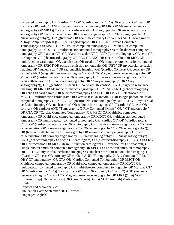computed tomography OR "cardiac CT" OR "Cardiovascular CT")) OR ((cardiac OR heart OR coronary OR cardio\*) AND (magnetic resonance imaging OR MRI OR Magnetic resonance angiography OR MRA)) OR (cardiac catheterization OR angiography OR invasive coronary angiography OR heart catheterization OR coronary angiography OR "X-ray angiography" OR "Xray angiography"))) OR ((((cardio\* OR heart OR coronary OR cardiac) AND "Tomography, X-Ray Computed"[Mesh]) OR ("CT angiography" OR CTA OR "Cardiac Computed Tomography" OR MSCT OR Multislice computed tomography OR Multi-slice computed tomography OR MDCT OR multidetector computed tomography OR multi-detector computed tomography OR "cardiac CT" OR "Cardiovascular CT")) AND ((echocardiography OR echo OR cardiogram) OR (electrocardiography OR ECG OR EKG OR electrocardio\* OR MCG OR multifunction cardiogram OR exercise test OR treadmill) OR (single photon emission computed tomography OR SPECT OR positron emission tomography OR "PET" OR myocardial perfusion imaging OR "nuclear scan" OR radionuclide imaging) OR ((cardiac OR heart OR coronary OR cardio\*) AND (magnetic resonance imaging OR MRI OR Magnetic resonance angiography OR MRA)) OR (cardiac catheterization OR angiography OR invasive coronary angiography OR heart catheterization OR coronary angiography OR "X-ray angiography" OR "Xray angiography"))) OR (((cardiac OR heart OR coronary OR cardio\*) AND (magnetic resonance imaging OR MRI OR Magnetic resonance angiography OR MRA)) AND ((echocardiography OR echo OR cardiogram) OR (electrocardiography OR ECG OR EKG OR electrocardio\* OR MCG OR multifunction cardiogram OR exercise test OR treadmill) OR (single photon emission computed tomography OR SPECT OR positron emission tomography OR "PET" OR myocardial perfusion imaging OR "nuclear scan" OR radionuclide imaging) OR (((cardio\* OR heart OR coronary OR cardiac) AND "Tomography, X-Ray Computed"[Mesh]) OR ("CT angiography" OR CTA OR "Cardiac Computed Tomography" OR MSCT OR Multislice computed tomography OR Multi-slice computed tomography OR MDCT OR multidetector computed tomography OR multi-detector computed tomography OR "cardiac CT" OR "Cardiovascular CT")) OR (cardiac catheterization OR angiography OR invasive coronary angiography OR heart catheterization OR coronary angiography OR "X-ray angiography" OR "Xray angiography"))) OR ((cardiac catheterization OR angiography OR invasive coronary angiography OR heart catheterization OR coronary angiography OR "X-ray angiography" OR "Xray angiography") AND ((echocardiography OR echo OR cardiogram) OR (electrocardiography OR ECG OR EKG OR electrocardio\* OR MCG OR multifunction cardiogram OR exercise test OR treadmill) OR (single photon emission computed tomography OR SPECT OR positron emission tomography OR "PET" OR myocardial perfusion imaging OR "nuclear scan" OR radionuclide imaging) OR (((cardio\* OR heart OR coronary OR cardiac) AND "Tomography, X-Ray Computed"[Mesh]) OR ("CT angiography" OR CTA OR "Cardiac Computed Tomography" OR MSCT OR Multislice computed tomography OR Multi-slice computed tomography OR MDCT OR multidetector computed tomography OR multi-detector computed tomography OR "cardiac CT" OR "Cardiovascular CT")) OR ((cardiac OR heart OR coronary OR cardio\*) AND (magnetic resonance imaging OR MRI OR Magnetic resonance angiography OR MRA)))))))) NOT (Editorial[ptyp] OR Letter[ptyp] OR Case Reports[ptyp])) NOT (Animals[Mesh:noexp]) Limits: Reviews and Meta-analyses

Publication Date: September 2011 – present Language: English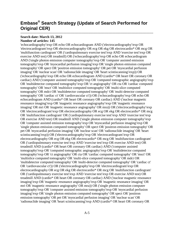# **Embase® Search Strategy (Update of Search Performed for Original CER)**

#### --------------------------------------------------------------------------------------------------------------------- **Search date: March 13, 2012 Number of articles: 145**

'echocardiography'/exp OR echo OR echocardiogram AND ('electrocardiography'/exp OR 'electrocardiogram'/exp OR electrocardiography OR ecg OR ekg OR electrocardio\* OR mcg OR 'multifunction cardiogram' OR ('cardiopulmonary exercise test'/exp AND 'exercise test'/exp OR exercise AND test) OR treadmill) OR ('echocardiography'/exp OR echo OR echocardiogram AND ('single photon emission computer tomography'/exp OR 'computer assisted emission tomography'/exp OR 'myocardial perfusion imaging'/exp OR 'single photon emission computed tomography' OR spect OR 'positron emission tomography' OR pet OR 'myocardial perfusion imaging' OR 'nuclear scan' OR 'radionuclide imaging' OR 'heart scintiscanning'/exp)) OR ('echocardiography'/exp OR echo OR echocardiogram AND (cardio\* OR heart OR coronary OR cardiac) AND ('computer assisted tomography'/exp OR 'computed tomographic angiography'/exp OR 'multidetector computed tomography'/exp OR 'ct angiography' OR cta OR 'cardiac computed tomography' OR 'msct' OR 'multislice computed tomography' OR 'multi-slice computed tomography' OR mdct OR 'multidetector computed tomography' OR 'multi-detector computed tomography' OR 'cardiac ct' OR 'cardiovascular ct')) OR ('echocardiography'/exp OR echo OR echocardiogram AND (cardio\* OR heart OR coronary OR cardiac) AND ('nuclear magnetic resonance imaging'/exp OR 'magnetic resonance angiography'/exp OR 'magnetic resonance imaging' OR mri OR 'magnetic resonance angiography' OR mra)) OR ('electrocardiography'/exp OR 'electrocardiogram'/exp OR electrocardiography OR ecg OR ekg OR electrocardio\* OR mcg OR 'multifunction cardiogram' OR ('cardiopulmonary exercise test'/exp AND 'exercise test'/exp OR exercise AND test) OR treadmill AND ('single photon emission computer tomography'/exp OR 'computer assisted emission tomography'/exp OR 'myocardial perfusion imaging'/exp OR 'single photon emission computed tomography' OR spect OR 'positron emission tomography' OR pet OR 'myocardial perfusion imaging' OR 'nuclear scan' OR 'radionuclide imaging' OR 'heart scintiscanning'/exp)) OR ('electrocardiography'/exp OR 'electrocardiogram'/exp OR electrocardiography OR ecg OR ekg OR electrocardio\* OR mcg OR 'multifunction cardiogram' OR ('cardiopulmonary exercise test'/exp AND 'exercise test'/exp OR exercise AND test) OR treadmill AND (cardio\* OR heart OR coronary OR cardiac) AND ('computer assisted tomography'/exp OR 'computed tomographic angiography'/exp OR 'multidetector computed tomography'/exp OR 'ct angiography' OR cta OR 'cardiac computed tomography' OR 'msct' OR 'multislice computed tomography' OR 'multi-slice computed tomography' OR mdct OR 'multidetector computed tomography' OR 'multi-detector computed tomography' OR 'cardiac ct' OR 'cardiovascular ct')) OR ('electrocardiography'/exp OR 'electrocardiogram'/exp OR electrocardiography OR ecg OR ekg OR electrocardio\* OR mcg OR 'multifunction cardiogram' OR ('cardiopulmonary exercise test'/exp AND 'exercise test'/exp OR exercise AND test) OR treadmill AND (cardio\* OR heart OR coronary OR cardiac) AND ('nuclear magnetic resonance imaging'/exp OR 'magnetic resonance angiography'/exp OR 'magnetic resonance imaging' OR mri OR 'magnetic resonance angiography' OR mra)) OR ('single photon emission computer tomography'/exp OR 'computer assisted emission tomography'/exp OR 'myocardial perfusion imaging'/exp OR 'single photon emission computed tomography' OR spect OR 'positron emission tomography' OR pet OR 'myocardial perfusion imaging' OR 'nuclear scan' OR 'radionuclide imaging' OR 'heart scintiscanning'/exp AND (cardio\* OR heart OR coronary OR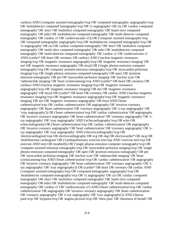cardiac) AND ('computer assisted tomography'/exp OR 'computed tomographic angiography'/exp OR 'multidetector computed tomography'/exp OR 'ct angiography' OR cta OR 'cardiac computed tomography' OR 'msct' OR 'multislice computed tomography' OR 'multi-slice computed tomography' OR mdct OR 'multidetector computed tomography' OR 'multi-detector computed tomography' OR 'cardiac ct' OR 'cardiovascular ct')) OR ('computer assisted tomography'/exp OR 'computed tomographic angiography'/exp OR 'multidetector computed tomography'/exp OR 'ct angiography' OR cta OR 'cardiac computed tomography' OR 'msct' OR 'multislice computed tomography' OR 'multi-slice computed tomography' OR mdct OR 'multidetector computed tomography' OR 'multi-detector computed tomography' OR 'cardiac ct' OR 'cardiovascular ct' AND (cardio\* OR heart OR coronary OR cardiac) AND ('nuclear magnetic resonance imaging'/exp OR 'magnetic resonance angiography'/exp OR 'magnetic resonance imaging' OR mri OR 'magnetic resonance angiography' OR mra)) OR ('single photon emission computer tomography'/exp OR 'computer assisted emission tomography'/exp OR 'myocardial perfusion imaging'/exp OR 'single photon emission computed tomography' OR spect OR 'positron emission tomography' OR pet OR 'myocardial perfusion imaging' OR 'nuclear scan' OR 'radionuclide imaging' OR 'heart scintiscanning'/exp AND (cardio\* OR heart OR coronary OR cardiac) AND ('nuclear magnetic resonance imaging'/exp OR 'magnetic resonance angiography'/exp OR 'magnetic resonance imaging' OR mri OR 'magnetic resonance angiography' OR mra)) OR (cardio\* OR heart OR coronary OR cardiac AND ('nuclear magnetic resonance imaging'/exp OR 'magnetic resonance angiography'/exp OR 'magnetic resonance imaging' OR mri OR 'magnetic resonance angiography' OR mra) AND ('heart catheterization'/exp OR 'cardiac catheterization' OR angiography OR 'invasive coronary angiography' OR 'heart catheterization' OR 'coronary angiography' OR 'x-ray angiography' OR 'xray angiography')) OR ('heart catheterization'/exp OR 'cardiac catheterization' OR angiography OR 'invasive coronary angiography' OR 'heart catheterization' OR 'coronary angiography' OR 'xray angiography' OR 'xray angiography' AND ('echocardiography'/exp OR echo OR echocardiogram)) OR ('heart catheterization'/exp OR 'cardiac catheterization' OR angiography OR 'invasive coronary angiography' OR 'heart catheterization' OR 'coronary angiography' OR 'xray angiography' OR 'xray angiography' AND ('electrocardiography'/exp OR 'electrocardiogram'/exp OR electrocardiography OR ecg OR ekg OR electrocardio\* OR mcg OR 'multifunction cardiogram' OR ('cardiopulmonary exercise test'/exp AND 'exercise test'/exp OR exercise AND test) OR treadmill)) OR ('single photon emission computer tomography'/exp OR 'computer assisted emission tomography'/exp OR 'myocardial perfusion imaging'/exp OR 'single photon emission computed tomography' OR spect OR 'positron emission tomography' OR pet OR 'myocardial perfusion imaging' OR 'nuclear scan' OR 'radionuclide imaging' OR 'heart scintiscanning'/exp AND ('heart catheterization'/exp OR 'cardiac catheterization' OR angiography OR 'invasive coronary angiography' OR 'heart catheterization' OR 'coronary angiography' OR 'xray angiography' OR 'xray angiography')) OR (cardio\* OR heart OR coronary OR cardiac AND ('computer assisted tomography'/exp OR 'computed tomographic angiography'/exp OR 'multidetector computed tomography'/exp OR 'ct angiography' OR cta OR 'cardiac computed tomography' OR 'msct' OR 'multislice computed tomography' OR 'multi-slice computed tomography' OR mdct OR 'multidetector computed tomography' OR 'multi-detector computed tomography' OR 'cardiac ct' OR 'cardiovascular ct') AND ('heart catheterization'/exp OR 'cardiac catheterization' OR angiography OR 'invasive coronary angiography' OR 'heart catheterization' OR 'coronary angiography' OR 'x-ray angiography' OR 'xray angiography')) AND ('thorax pain'/exp OR 'dyspnea'/exp OR 'angina pectoris'/exp OR 'chest pain' OR 'shortness of breath' OR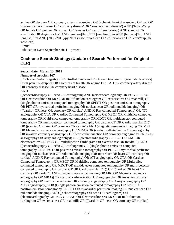angina OR dsypnea OR 'coronary artery disease'/exp OR 'ischemic heart disease'/exp OR cad OR 'coronary artery disease' OR 'coronary disease' OR 'coronary heart disease') AND ('female'/exp OR female OR women OR woman OR females OR 'sex difference'/exp) AND (predict OR specificity OR diagnosis:lnk) AND [embase]/lim NOT [medline]/lim AND [humans]/lim AND [english]/lim AND [2000-2011]/py NOT ('case report'/exp OR 'editorial'/exp OR 'letter'/exp OR 'note'/exp)

Limits:

Publication Date: September 2011 – present

## **Cochrane Search Strategy (Update of Search Performed for Original CER)**

---------------------------------------------------------------------------------------------------------------------

#### **Search date: March 13, 2012 Number of articles: 167**

[Cochrane Central Registry of Controlled Trials and Cochrane Database of Systematic Reviews] Chest pain OR dyspnea OR shortness of breath OR angina OR CAD OR coronary artery disease OR coronary disease OR coronary heart disease

#### AND

((echocardiography OR echo OR cardiogram) AND ((electrocardiography OR ECG OR EKG OR electrocardio\* OR MCG OR multifunction cardiogram OR exercise test OR treadmill) OR (single photon emission computed tomography OR SPECT OR positron emission tomography OR PET OR myocardial perfusion imaging OR nuclear scan OR radionuclide imaging) OR (((cardio\* OR heart OR coronary OR cardiac) AND X-Ray computed Tomography) OR (CT angiography OR CTA OR Cardiac Computed Tomography OR MSCT OR Multislice computed tomography OR Multi-slice computed tomography OR MDCT OR multidetector computed tomography OR multi-detector computed tomography OR cardiac CT OR Cardiovascular CT)) OR ((cardiac OR heart OR coronary OR cardio\*) AND (magnetic resonance imaging OR MRI OR Magnetic resonance angiography OR MRA)) OR (cardiac catheterization OR angiography OR invasive coronary angiography OR heart catheterization OR coronary angiography OR X-ray angiography OR Xray angiography))) OR ((electrocardiography OR ECG OR EKG OR electrocardio\* OR MCG OR multifunction cardiogram OR exercise test OR treadmill) AND ((echocardiography OR echo OR cardiogram) OR (single photon emission computed tomography OR SPECT OR positron emission tomography OR PET OR myocardial perfusion imaging OR nuclear scan OR radionuclide imaging) OR (((cardio\* OR heart OR coronary OR cardiac) AND X-Ray computed Tomography) OR (CT angiography OR CTA OR Cardiac Computed Tomography OR MSCT OR Multislice computed tomography OR Multi-slice computed tomography OR MDCT OR multidetector computed tomography OR multi-detector computed tomography OR cardiac CT OR Cardiovascular CT)) OR ((cardiac OR heart OR coronary OR cardio\*) AND (magnetic resonance imaging OR MRI OR Magnetic resonance angiography OR MRA)) OR (cardiac catheterization OR angiography OR invasive coronary angiography OR heart catheterization OR coronary angiography OR X-ray angiography OR Xray angiography))) OR ((single photon emission computed tomography OR SPECT OR positron emission tomography OR PET OR myocardial perfusion imaging OR nuclear scan OR radionuclide imaging) AND ((echocardiography OR echo OR cardiogram) OR (electrocardiography OR ECG OR EKG OR electrocardio\* OR MCG OR multifunction cardiogram OR exercise test OR treadmill) OR (((cardio\* OR heart OR coronary OR cardiac)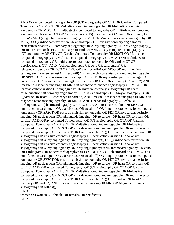AND X-Ray computed Tomography) OR (CT angiography OR CTA OR Cardiac Computed Tomography OR MSCT OR Multislice computed tomography OR Multi-slice computed tomography OR MDCT OR multidetector computed tomography OR multi-detector computed tomography OR cardiac CT OR Cardiovascular CT)) OR ((cardiac OR heart OR coronary OR cardio\*) AND (magnetic resonance imaging OR MRI OR Magnetic resonance angiography OR MRA)) OR (cardiac catheterization OR angiography OR invasive coronary angiography OR heart catheterization OR coronary angiography OR X-ray angiography OR Xray angiography)) OR ((((cardio\* OR heart OR coronary OR cardiac) AND X-Ray computed Tomography) OR (CT angiography OR CTA OR Cardiac Computed Tomography OR MSCT OR Multislice computed tomography OR Multi-slice computed tomography OR MDCT OR multidetector computed tomography OR multi-detector computed tomography OR cardiac CT OR Cardiovascular CT)) AND ((echocardiography OR echo OR cardiogram) OR (electrocardiography OR ECG OR EKG OR electrocardio\* OR MCG OR multifunction cardiogram OR exercise test OR treadmill) OR (single photon emission computed tomography OR SPECT OR positron emission tomography OR PET OR myocardial perfusion imaging OR nuclear scan OR radionuclide imaging) OR ((cardiac OR heart OR coronary OR cardio\*) AND (magnetic resonance imaging OR MRI OR Magnetic resonance angiography OR MRA)) OR (cardiac catheterization OR angiography OR invasive coronary angiography OR heart catheterization OR coronary angiography OR X-ray angiography OR Xray angiography))) OR (((cardiac OR heart OR coronary OR cardio\*) AND (magnetic resonance imaging OR MRI OR Magnetic resonance angiography OR MRA)) AND ((echocardiography OR echo OR cardiogram) OR (electrocardiography OR ECG OR EKG OR electrocardio\* OR MCG OR multifunction cardiogram OR exercise test OR treadmill) OR (single photon emission computed tomography OR SPECT OR positron emission tomography OR PET OR myocardial perfusion imaging OR nuclear scan OR radionuclide imaging) OR (((cardio\* OR heart OR coronary OR cardiac) AND X-Ray computed Tomography) OR (CT angiography OR CTA OR Cardiac Computed Tomography OR MSCT OR Multislice computed tomography OR Multi-slice computed tomography OR MDCT OR multidetector computed tomography OR multi-detector computed tomography OR cardiac CT OR Cardiovascular CT)) OR (cardiac catheterization OR angiography OR invasive coronary angiography OR heart catheterization OR coronary angiography OR X-ray angiography OR Xray angiography))) OR ((cardiac catheterization OR angiography OR invasive coronary angiography OR heart catheterization OR coronary angiography OR X-ray angiography OR Xray angiography) AND ((echocardiography OR echo OR cardiogram) OR (electrocardiography OR ECG OR EKG OR electrocardio\* OR MCG OR multifunction cardiogram OR exercise test OR treadmill) OR (single photon emission computed tomography OR SPECT OR positron emission tomography OR PET OR myocardial perfusion imaging OR nuclear scan OR radionuclide imaging) OR (((cardio\* OR heart OR coronary OR cardiac) AND X-Ray computed Tomography) OR (CT angiography OR CTA OR Cardiac Computed Tomography OR MSCT OR Multislice computed tomography OR Multi-slice computed tomography OR MDCT OR multidetector computed tomography OR multi-detector computed tomography OR cardiac CT OR Cardiovascular CT)) OR ((cardiac OR heart OR coronary OR cardio\*) AND (magnetic resonance imaging OR MRI OR Magnetic resonance angiography OR MRA)))) AND

women OR woman OR female OR females OR sex factors AND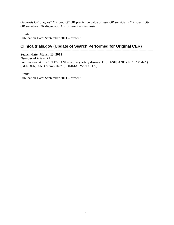diagnosis OR diagnos\* OR predict\* OR predictive value of tests OR sensitivity OR specificity OR sensitive OR diagnostic OR differential diagnosis

Limits: Publication Date: September 2011 – present

#### **Clinicaltrials.gov (Update of Search Performed for Original CER)** ---------------------------------------------------------------------------------------------------------------------

**Search date: March 13, 2012 Number of trials: 21** noninvasive [ALL-FIELDS] AND coronary artery disease [DISEASE] AND ( NOT "Male" ) [GENDER] AND "completed" [SUMMARY-STATUS]

Limits: Publication Date: September 2011 – present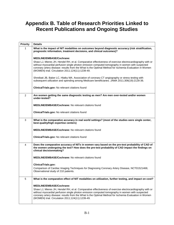# **Appendix B. Table of Research Priorities Linked to Recent Publications and Ongoing Studies**

| <b>Priority</b> | <b>Details</b>                                                                                                                                                                                                                                                                                                                                                          |
|-----------------|-------------------------------------------------------------------------------------------------------------------------------------------------------------------------------------------------------------------------------------------------------------------------------------------------------------------------------------------------------------------------|
| 1               | What is the impact of NIT modalities on outcomes beyond diagnostic accuracy (risk stratification,<br>prognostic information, treatment decisions, and clinical outcomes)?                                                                                                                                                                                               |
|                 | <b>MEDLINE/EMBASE/Cochrane:</b>                                                                                                                                                                                                                                                                                                                                         |
|                 | Shaw LJ, Mieres JH, Hendel RH, et al. Comparative effectiveness of exercise electrocardiography with or<br>without myocardial perfusion single photon emission computed tomography in women with suspected<br>coronary artery disease: results from the What Is the Optimal Method for Ischemia Evaluation in Women<br>(WOMEN) trial. Circulation 2011;124(11):1239-49. |
|                 | Shreibati JB, Baker LC, Hlatky MA. Association of coronary CT angiography or stress testing with<br>subsequent utilization and spending among Medicare beneficiaries. JAMA 2011;306(19):2128-36.                                                                                                                                                                        |
|                 | ClinicalTrials.gov: No relevant citations found                                                                                                                                                                                                                                                                                                                         |
| 2               | Are women getting the same diagnostic testing as men? Are men over-tested and/or women<br>under-tested?                                                                                                                                                                                                                                                                 |
|                 | <b>MEDLINE/EMBASE/Cochrane: No relevant citations found</b>                                                                                                                                                                                                                                                                                                             |
|                 | ClinicalTrials.gov: No relevant citations found                                                                                                                                                                                                                                                                                                                         |
| 3               | What is the comparative accuracy in real world settings? (most of the studies were single center,<br>best-quality/high expertise centers)                                                                                                                                                                                                                               |
|                 | <b>MEDLINE/EMBASE/Cochrane: No relevant citations found</b>                                                                                                                                                                                                                                                                                                             |
|                 | ClinicalTrials.gov: No relevant citations found                                                                                                                                                                                                                                                                                                                         |
| 4               | Does the comparative accuracy of NITs in women vary based on the pre-test probability of CAD of<br>the women undergoing the test? How does the pre-test probability of CAD impact the findings on<br>clinical decisionmaking?                                                                                                                                           |
|                 | <b>MEDLINE/EMBASE/Cochrane: No relevant citations found</b>                                                                                                                                                                                                                                                                                                             |
|                 | ClinicalTrials.gov:                                                                                                                                                                                                                                                                                                                                                     |
|                 | Comparison of Cardiac Imaging Techniques for Diagnosing Coronary Artery Disease, NCT01521468,<br>Observational study of 210 patients.                                                                                                                                                                                                                                   |
| $\sqrt{5}$      | What is the comparative effect of NIT modalities on utilization, further testing, and impact on cost?                                                                                                                                                                                                                                                                   |
|                 | <b>MEDLINE/EMBASE/Cochrane:</b>                                                                                                                                                                                                                                                                                                                                         |
|                 | Shaw LJ, Mieres JH, Hendel RH, et al. Comparative effectiveness of exercise electrocardiography with or<br>without myocardial perfusion single photon emission computed tomography in women with suspected<br>coronary artery disease: results from the What Is the Optimal Method for Ischemia Evaluation in Women<br>(WOMEN) trial. Circulation 2011;124(11):1239-49. |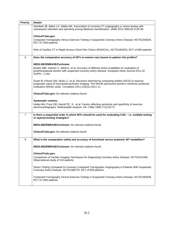| <b>Priority</b> | <b>Details</b>                                                                                                                                                                                                                                                  |
|-----------------|-----------------------------------------------------------------------------------------------------------------------------------------------------------------------------------------------------------------------------------------------------------------|
|                 | Shreibati JB, Baker LC, Hlatky MA. Association of coronary CT angiography or stress testing with<br>subsequent utilization and spending among Medicare beneficiaries. JAMA 2011;306(19):2128-36.                                                                |
|                 | ClinicalTrials.gov:                                                                                                                                                                                                                                             |
|                 | Computed Tomography Versus Exercise Testing in Suspected Coronary Artery Disease, NCT01393028,<br>RCT of 1350 patients.                                                                                                                                         |
|                 | Role of Cardiac CT in Rapid Access Chest Pain Clinics (RADICAL), NCT01464203, RCT of 600 patients.                                                                                                                                                              |
| 6               | Does the comparative accuracy of NITs in women vary based on patient risk profiles?                                                                                                                                                                             |
|                 | <b>MEDLINE/EMBASE/Cochrane:</b>                                                                                                                                                                                                                                 |
|                 | Becker MM, Zwicker C, Altiok E, et al. Accuracy of different stress modalities for evaluation of<br>postmenopausal women with suspected coronary artery disease. European Heart Journal 2011;32<br>SUPPL. 1:164.                                                |
|                 | Doyle M, Pohost GM, Shaw LJ, et al. Decisions informed by computing entities (DICE) to improve<br>prognostic value of myocardial perfusion imaging: The NHLBI-sponsored women's ischemia syndrome<br>evaluation (WISE) study. Circulation 2011;124(21):2011-11. |
|                 | ClinicalTrials.gov: No relevant citations found                                                                                                                                                                                                                 |
|                 | <b>Systematic reviews:</b>                                                                                                                                                                                                                                      |
|                 | Hlatky MA, Pryor DB, Harrell FE, Jr., et al. Factors affecting sensitivity and specificity of exercise<br>electrocardiography. Multivariable analysis. Am J Med 1984;77(1):64-71.                                                                               |
| $\overline{7}$  | Is there a sequential order in which NITs should be used for evaluating CAD - i.e. multiple testing<br>or layered-testing strategies?                                                                                                                           |
|                 | <b>MEDLINE/EMBASE/Cochrane: No relevant citations found</b>                                                                                                                                                                                                     |
|                 | ClinicalTrials.gov: No relevant citations found                                                                                                                                                                                                                 |
| 8               | What is the comparative safety and accuracy of functional versus anatomic NIT modalities?                                                                                                                                                                       |
|                 | MEDLINE/EMBASE/Cochrane: No relevant citations found                                                                                                                                                                                                            |
|                 | <b>ClinicalTrials.gov:</b>                                                                                                                                                                                                                                      |
|                 | Comparison of Cardiac Imaging Techniques for Diagnosing Coronary Artery Disease, NCT01521468,<br>Observational study of 210 patients.                                                                                                                           |
|                 | Stress Testing Compared to Coronary Computed Tomographic Angiography in Patients With Suspected<br>Coronary Artery Disease, NCT01368770, RCT of 500 patients.                                                                                                   |
|                 | Computed Tomography Versus Exercise Testing in Suspected Coronary Artery Disease, NCT01393028,<br>RCT of 1350 patients.                                                                                                                                         |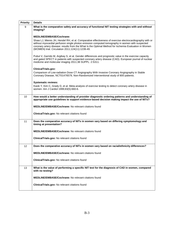| <b>Priority</b> | <b>Details</b>                                                                                                                                                                                                                                                                                                                                                          |
|-----------------|-------------------------------------------------------------------------------------------------------------------------------------------------------------------------------------------------------------------------------------------------------------------------------------------------------------------------------------------------------------------------|
| 9               | What is the comparative safety and accuracy of functional NIT testing strategies with and without<br>imaging?                                                                                                                                                                                                                                                           |
|                 | <b>MEDLINE/EMBASE/Cochrane:</b>                                                                                                                                                                                                                                                                                                                                         |
|                 | Shaw LJ, Mieres JH, Hendel RH, et al. Comparative effectiveness of exercise electrocardiography with or<br>without myocardial perfusion single photon emission computed tomography in women with suspected<br>coronary artery disease: results from the What Is the Optimal Method for Ischemia Evaluation in Women<br>(WOMEN) trial. Circulation 2011;124(11):1239-49. |
|                 | Pubul V, Garrido M, Argibay S, et al. Gender differences and prognostic value in the exercise capacity<br>and gated SPECT in patients with suspected coronary artery disease (CAD). European journal of nuclear<br>medicine and molecular imaging 2011;38 SUPPL. 2:S311.                                                                                                |
|                 | ClinicalTrials.gov:                                                                                                                                                                                                                                                                                                                                                     |
|                 | Comparison of Low-radiation Dose CT Angiography With Invasive Coronary Angiography in Stable<br>Coronary Disease, NCT01476579, Non-Randomized Interventional study of 800 patients.                                                                                                                                                                                     |
|                 | <b>Systematic reviews:</b>                                                                                                                                                                                                                                                                                                                                              |
|                 | Kwok Y, Kim C, Grady D, et al. Meta-analysis of exercise testing to detect coronary artery disease in<br>women. Am J Cardiol 1999;83(5):660-6.                                                                                                                                                                                                                          |
| 10              | How would a better understanding of provider diagnostic ordering patterns and understanding of<br>appropriate use guidelines to support evidence-based decision making impact the use of NITs?                                                                                                                                                                          |
|                 | <b>MEDLINE/EMBASE/Cochrane: No relevant citations found</b>                                                                                                                                                                                                                                                                                                             |
|                 | ClinicalTrials.gov: No relevant citations found                                                                                                                                                                                                                                                                                                                         |
| 11              | Does the comparative accuracy of NITs in women vary based on differing symptomology and<br>timing at presentation?                                                                                                                                                                                                                                                      |
|                 | <b>MEDLINE/EMBASE/Cochrane: No relevant citations found</b>                                                                                                                                                                                                                                                                                                             |
|                 | ClinicalTrials.gov: No relevant citations found                                                                                                                                                                                                                                                                                                                         |
| 12              | Does the comparative accuracy of NITs in women vary based on racial/ethnicity differences?                                                                                                                                                                                                                                                                              |
|                 | <b>MEDLINE/EMBASE/Cochrane: No relevant citations found</b>                                                                                                                                                                                                                                                                                                             |
|                 | ClinicalTrials.gov: No relevant citations found                                                                                                                                                                                                                                                                                                                         |
| 13              | What is the value of performing a specific NIT test for the diagnosis of CAD in women, compared<br>with no testing?                                                                                                                                                                                                                                                     |
|                 | <b>MEDLINE/EMBASE/Cochrane: No relevant citations found</b>                                                                                                                                                                                                                                                                                                             |
|                 | ClinicalTrials.gov: No relevant citations found                                                                                                                                                                                                                                                                                                                         |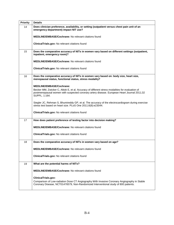| <b>Priority</b> | <b>Details</b>                                                                                                                                                                                                   |
|-----------------|------------------------------------------------------------------------------------------------------------------------------------------------------------------------------------------------------------------|
| 14              | Does clinician preference, availability, or setting (outpatient versus chest pain unit of an<br>emergency department) impact NIT use?                                                                            |
|                 | <b>MEDLINE/EMBASE/Cochrane: No relevant citations found</b>                                                                                                                                                      |
|                 | ClinicalTrials.gov: No relevant citations found                                                                                                                                                                  |
| 15              | Does the comparative accuracy of NITs in women vary based on different settings (outpatient,<br>inpatient, emergency room)?                                                                                      |
|                 | <b>MEDLINE/EMBASE/Cochrane: No relevant citations found</b>                                                                                                                                                      |
|                 | ClinicalTrials.gov: No relevant citations found                                                                                                                                                                  |
| 16              | Does the comparative accuracy of NITs in women vary based on: body size, heart size,<br>menopausal status, functional status, stress modality?                                                                   |
|                 | <b>MEDLINE/EMBASE/Cochrane:</b>                                                                                                                                                                                  |
|                 | Becker MM, Zwicker C, Altiok E, et al. Accuracy of different stress modalities for evaluation of<br>postmenopausal women with suspected coronary artery disease. European Heart Journal 2011;32<br>SUPPL. 1:164. |
|                 | Siegler JC, Rehman S, Bhumireddy GP, et al. The accuracy of the electrocardiogram during exercise<br>stress test based on heart size. PLoS One 2011;6(8):e23044.                                                 |
|                 | ClinicalTrials.gov: No relevant citations found                                                                                                                                                                  |
| 17              | How does patient preference of testing factor into decision making?                                                                                                                                              |
|                 | <b>MEDLINE/EMBASE/Cochrane: No relevant citations found</b>                                                                                                                                                      |
|                 | ClinicalTrials.gov: No relevant citations found                                                                                                                                                                  |
| 18              | Does the comparative accuracy of NITs in women vary based on age?                                                                                                                                                |
|                 | MEDLINE/EMBASE/Cochrane: No relevant citations found                                                                                                                                                             |
|                 | ClinicalTrials.gov: No relevant citations found                                                                                                                                                                  |
| 19              | What are the potential harms of NITs?                                                                                                                                                                            |
|                 | MEDLINE/EMBASE/Cochrane: No relevant citations found                                                                                                                                                             |
|                 | ClinicalTrials.gov:<br>Comparison of Low-radiation Dose CT Angiography With Invasive Coronary Angiography in Stable<br>Coronary Disease, NCT01476579, Non-Randomized Interventional study of 800 patients.       |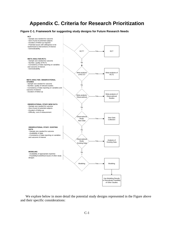# **Appendix C. Criteria for Research Prioritization**

#### **Figure C-1. Framework for suggesting study designs for Future Research Needs**



We explore below in more detail the potential study designs represented in the Figure above and their specific considerations: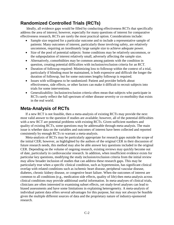## **Randomized Controlled Trials (RCTs)**

Ideally, all evidence gaps would be filled by conducting effectiveness RCTs that specifically address the area of interest; however, especially for many questions of interest for comparative effectiveness research, RCTs are rarely the most practical option. Considerations include:

- Sample size required for a particular outcome and to include a representative sample of patients: Many outcomes of interest, particularly those involving safety, are relatively uncommon, requiring an inordinately large sample size to achieve adequate power.
- Size of the pool of potential subjects: Some conditions may be relatively uncommon, or the subpopulation of interest relatively small, adversely affecting the sample size.
- Alternatively, comorbidities may be common among patients with the condition in question, creating potential difficulties with inclusion/exclusion criteria for an RCT.
- Duration of followup required: Minimizing loss to followup within the context of a trial, particularly if blinding must be maintained, is both expensive and difficult the longer the duration of followup, but for some outcomes lengthy followup is required.
- Issues with willingness to be randomized: Patient and provider beliefs about effectiveness, side effects, or other factors can make it difficult to recruit subjects into trials for some interventions.
- Generalizability: Inclusion/exclusion criteria often mean that subjects who participate in RCTs rarely reflect the full spectrum of either disease severity or co-morbidity that exists in the real world.

# **Meta-Analysis of RCTs**

If a new RCT is not feasible, then a meta-analysis of existing RCTs may provide the next most valid answer to the question if studies are available; however, all of the potential difficulties with a new RCT are potential problems with existing RCTs. Given sufficient numbers and quality of existing RCTs, some questions may be addressable through meta-analysis. The main issue is whether data on the variables and outcomes of interest have been collected and reported consistently by enough RCTs to warrant a meta-analysis.

Meta-analysis of RCTs may be particularly appropriate for research gaps outside the scope of the initial CER; however, as highlighted by the authors of the original CER in their discussion of future research needs, this method may also be able answer key questions included in the original CER. Depending on the volume of ongoing research, existing reviews may quickly become out of date, particularly in cardiovascular research. In addition, when insufficient evidence exists for particular key questions, modifying the study inclusion/exclusion criteria from the initial review may allow broader inclusion of studies that can address these research gaps. This may be particularly true when a specific clinical condition, such as hypertension, has significant clinical overlap with related conditions such as ischemic heart disease, peripheral vascular disease, diabetes, chronic kidney disease, or congestive heart failure. When the outcomes of interest are common to all conditions (e.g., medication side effects, quality of life) then meta-analysis across clinical conditions may provide additional useful information. In meta-analyses of clinical trials, clinicians are often interested in examining subset effects, yet study-level analyses can lead to biased assessments and have some limitations in explaining heterogeneity. A meta-analysis of individual patient data offers several advantages for this purpose, but may not always be feasible given the multiple different sources of data and the proprietary nature of industry-sponsored research.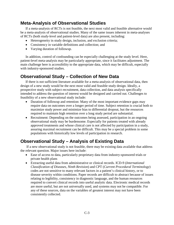## **Meta-Analysis of Observational Studies**

If a meta-analysis of RCTs is not feasible, the next most valid and feasible alternative would be a meta-analysis of observational studies. Many of the same issues inherent in meta-analyses of RCTs (both study-level and patient-level data) are also present, including:

- Heterogeneity in study design, inclusion, and exclusion criteria;
- Consistency in variable definitions and collection; and
- Varying duration of followup.

In addition, control of confounding can be especially challenging at the study level. Here, patient-level meta-analysis may be particularly appropriate, since it facilitates adjustment. The main challenge here is accessibility to the appropriate data, which may be difficult, especially with industry-sponsored studies.

# **Observational Study – Collection of New Data**

If there is not sufficient literature available for a meta-analysis of observational data, then design of a new study would be the next most valid and feasible study design. Ideally, a prospective study with subject recruitment, data collection, and data analysis specifically intended to address the question of interest would be designed and carried out. Challenges to feasibility of a new observational study include:

- Duration of followup and retention: Many of the most important evidence gaps may require data on outcomes over a longer period of time. Subject retention is crucial both to maximize study power and minimize bias to differential dropout, but the resources required to maintain high retention over a long study period are substantial.
- Recruitment: Depending on the outcomes being assessed, participation in an ongoing observational study may be burdensome. Especially for patients treated with already approved treatments and whose clinical care is not affected by participation in a study, assuring maximal recruitment can be difficult. This may be a special problem in some populations with historically low levels of participation in research.

## **Observational Study – Analysis of Existing Data**

If a new observational study is not feasible, there may be existing data available that address the relevant question. Major issues here include:

- Ease of access to data, particularly proprietary data from industry-sponsored trials or private health plans
- Extracting useful data from administrative or clinical records. ICD-9 (*International Classification of Diseases, Ninth Revision*) and CPT (*Current Procedural Terminology*) codes are not sensitive to many relevant factors in a patient's clinical history, or to disease severity within conditions. Paper records are difficult to abstract because of issues relating to legibility, consistency in diagnostic language, and the human resources required to convert clinical records into useful analytic data. Electronic medical records are more useful, but are not universally used, and systems may not be compatible. For any of these sources, data on the variables of greatest interest may not have been consistently collected.